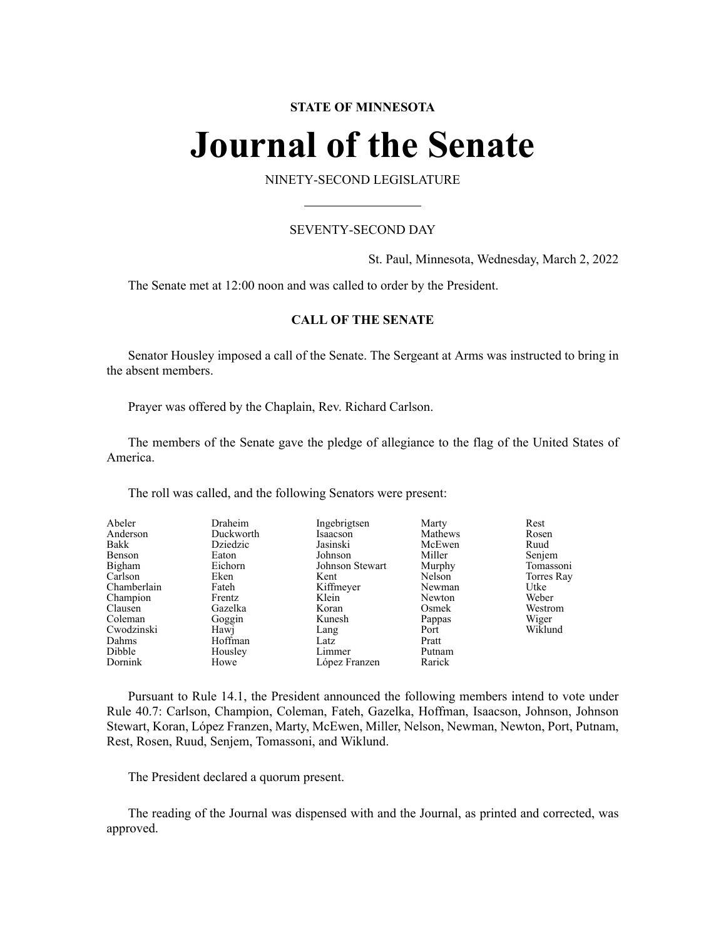# **STATE OF MINNESOTA**

# **Journal of the Senate**

NINETY-SECOND LEGISLATURE

# SEVENTY-SECOND DAY

St. Paul, Minnesota, Wednesday, March 2, 2022

The Senate met at 12:00 noon and was called to order by the President.

# **CALL OF THE SENATE**

Senator Housley imposed a call of the Senate. The Sergeant at Arms was instructed to bring in the absent members.

Prayer was offered by the Chaplain, Rev. Richard Carlson.

The members of the Senate gave the pledge of allegiance to the flag of the United States of America.

The roll was called, and the following Senators were present:

| Abeler      | Draheim   | Ingebrigtsen    | Marty   | Rest       |
|-------------|-----------|-----------------|---------|------------|
| Anderson    | Duckworth | Isaacson        | Mathews | Rosen      |
| Bakk        | Dziedzic  | Jasinski        | McEwen  | Ruud       |
| Benson      | Eaton     | Johnson         | Miller  | Senjem     |
| Bigham      | Eichorn   | Johnson Stewart | Murphy  | Tomassoni  |
| Carlson     | Eken      | Kent            | Nelson  | Torres Ray |
| Chamberlain | Fateh     | Kiffmeyer       | Newman  | Utke       |
| Champion    | Frentz    | Klein           | Newton  | Weber      |
| Clausen     | Gazelka   | Koran           | Osmek   | Westrom    |
| Coleman     | Goggin    | Kunesh          | Pappas  | Wiger      |
| Cwodzinski  | Hawj      | Lang            | Port    | Wiklund    |
| Dahms       | Hoffman   | Latz            | Pratt   |            |
| Dibble      | Housley   | Limmer          | Putnam  |            |
| Dornink     | Howe      | López Franzen   | Rarick  |            |

Pursuant to Rule 14.1, the President announced the following members intend to vote under Rule 40.7: Carlson, Champion, Coleman, Fateh, Gazelka, Hoffman, Isaacson, Johnson, Johnson Stewart, Koran, López Franzen, Marty, McEwen, Miller, Nelson, Newman, Newton, Port, Putnam, Rest, Rosen, Ruud, Senjem, Tomassoni, and Wiklund.

The President declared a quorum present.

The reading of the Journal was dispensed with and the Journal, as printed and corrected, was approved.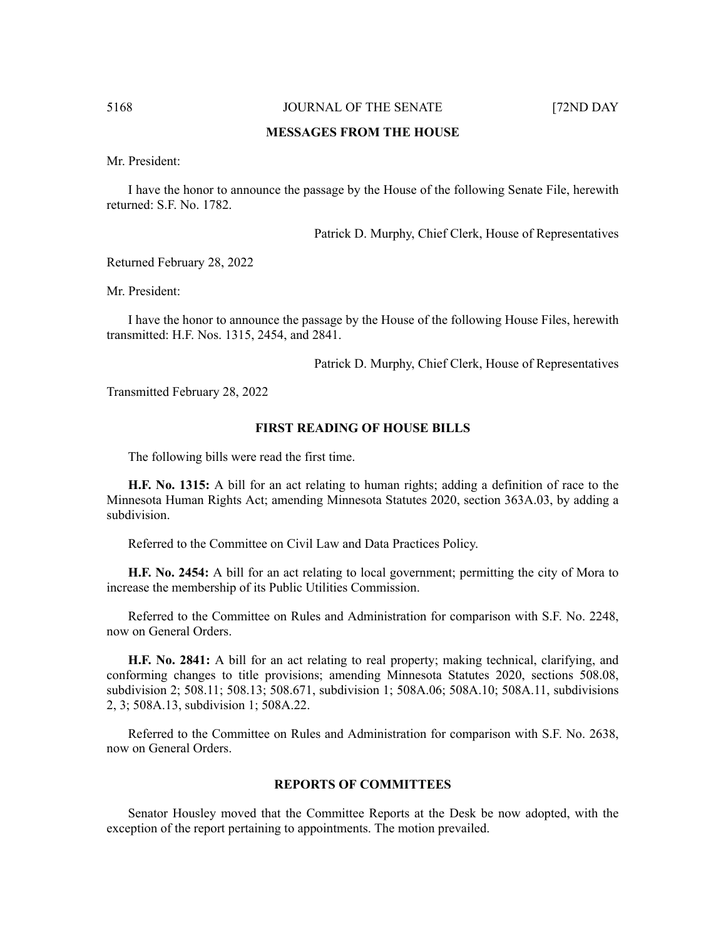# **MESSAGES FROM THE HOUSE**

Mr. President:

I have the honor to announce the passage by the House of the following Senate File, herewith returned: S.F. No. 1782.

Patrick D. Murphy, Chief Clerk, House of Representatives

Returned February 28, 2022

Mr. President:

I have the honor to announce the passage by the House of the following House Files, herewith transmitted: H.F. Nos. 1315, 2454, and 2841.

Patrick D. Murphy, Chief Clerk, House of Representatives

Transmitted February 28, 2022

#### **FIRST READING OF HOUSE BILLS**

The following bills were read the first time.

**H.F. No. 1315:** A bill for an act relating to human rights; adding a definition of race to the Minnesota Human Rights Act; amending Minnesota Statutes 2020, section 363A.03, by adding a subdivision.

Referred to the Committee on Civil Law and Data Practices Policy.

**H.F. No. 2454:** A bill for an act relating to local government; permitting the city of Mora to increase the membership of its Public Utilities Commission.

Referred to the Committee on Rules and Administration for comparison with S.F. No. 2248, now on General Orders.

**H.F. No. 2841:** A bill for an act relating to real property; making technical, clarifying, and conforming changes to title provisions; amending Minnesota Statutes 2020, sections 508.08, subdivision 2; 508.11; 508.13; 508.671, subdivision 1; 508A.06; 508A.10; 508A.11, subdivisions 2, 3; 508A.13, subdivision 1; 508A.22.

Referred to the Committee on Rules and Administration for comparison with S.F. No. 2638, now on General Orders.

#### **REPORTS OF COMMITTEES**

Senator Housley moved that the Committee Reports at the Desk be now adopted, with the exception of the report pertaining to appointments. The motion prevailed.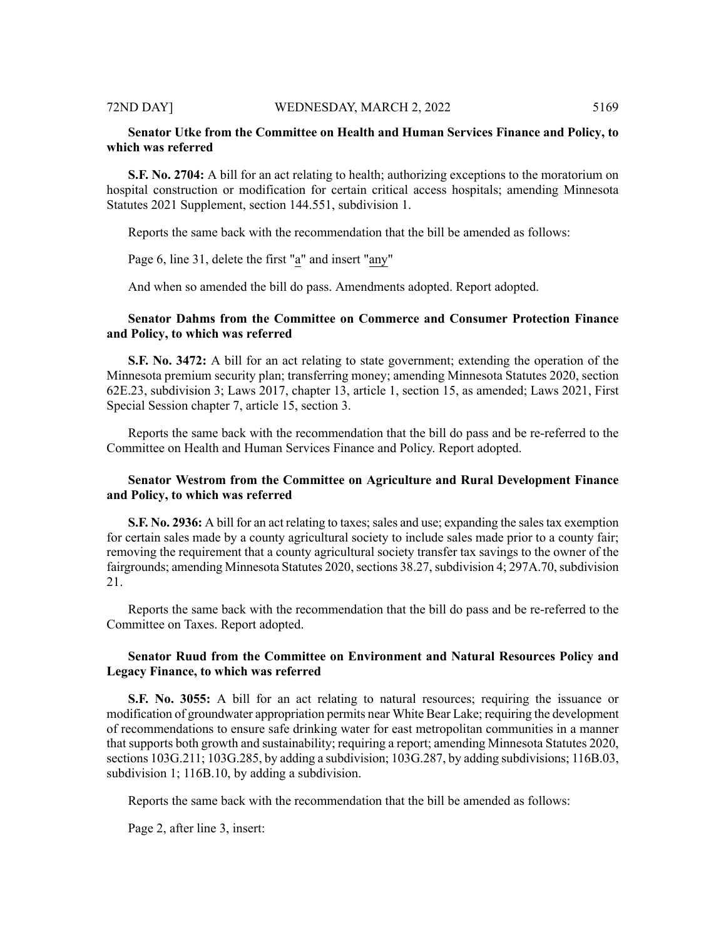# **Senator Utke from the Committee on Health and Human Services Finance and Policy, to which was referred**

**S.F. No. 2704:** A bill for an act relating to health; authorizing exceptions to the moratorium on hospital construction or modification for certain critical access hospitals; amending Minnesota Statutes 2021 Supplement, section 144.551, subdivision 1.

Reports the same back with the recommendation that the bill be amended as follows:

Page 6, line 31, delete the first "a" and insert "any"

And when so amended the bill do pass. Amendments adopted. Report adopted.

# **Senator Dahms from the Committee on Commerce and Consumer Protection Finance and Policy, to which was referred**

**S.F. No. 3472:** A bill for an act relating to state government; extending the operation of the Minnesota premium security plan; transferring money; amending Minnesota Statutes 2020, section 62E.23, subdivision 3; Laws 2017, chapter 13, article 1, section 15, as amended; Laws 2021, First Special Session chapter 7, article 15, section 3.

Reports the same back with the recommendation that the bill do pass and be re-referred to the Committee on Health and Human Services Finance and Policy. Report adopted.

# **Senator Westrom from the Committee on Agriculture and Rural Development Finance and Policy, to which was referred**

**S.F. No. 2936:** A bill for an act relating to taxes; sales and use; expanding the sales tax exemption for certain sales made by a county agricultural society to include sales made prior to a county fair; removing the requirement that a county agricultural society transfer tax savings to the owner of the fairgrounds; amending Minnesota Statutes 2020, sections 38.27, subdivision 4; 297A.70, subdivision 21.

Reports the same back with the recommendation that the bill do pass and be re-referred to the Committee on Taxes. Report adopted.

# **Senator Ruud from the Committee on Environment and Natural Resources Policy and Legacy Finance, to which was referred**

**S.F.** No. 3055: A bill for an act relating to natural resources; requiring the issuance or modification of groundwater appropriation permits near White Bear Lake; requiring the development of recommendations to ensure safe drinking water for east metropolitan communities in a manner that supports both growth and sustainability; requiring a report; amending Minnesota Statutes 2020, sections 103G.211; 103G.285, by adding a subdivision; 103G.287, by adding subdivisions; 116B.03, subdivision 1; 116B.10, by adding a subdivision.

Reports the same back with the recommendation that the bill be amended as follows:

Page 2, after line 3, insert: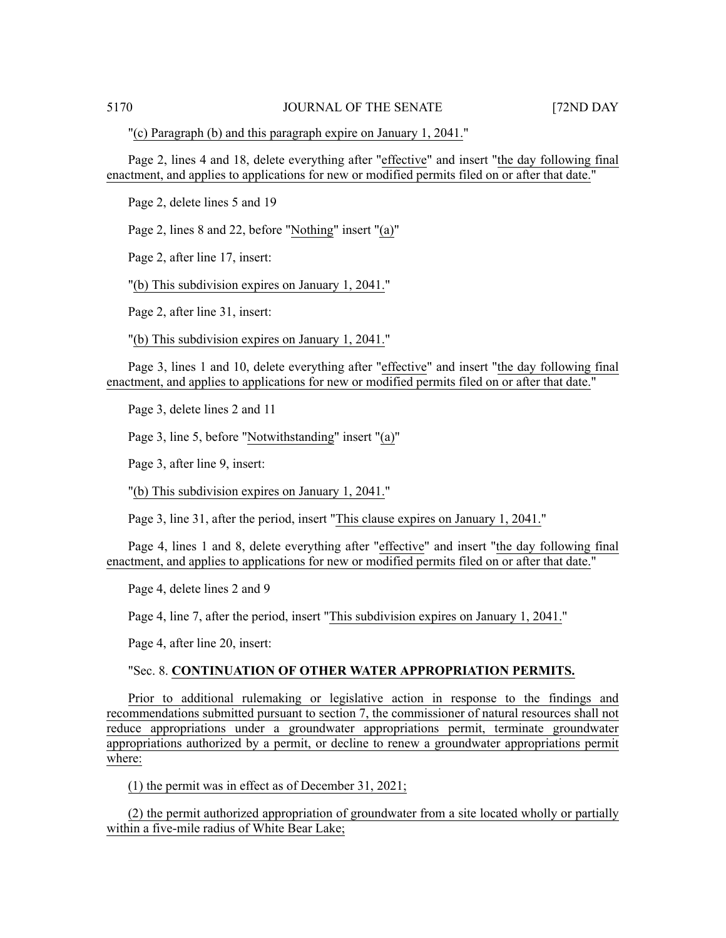"(c) Paragraph (b) and this paragraph expire on January 1, 2041."

Page 2, lines 4 and 18, delete everything after "effective" and insert "the day following final enactment, and applies to applications for new or modified permits filed on or after that date."

Page 2, delete lines 5 and 19

Page 2, lines 8 and 22, before "Nothing" insert "(a)"

Page 2, after line 17, insert:

"(b) This subdivision expires on January 1, 2041."

Page 2, after line 31, insert:

"(b) This subdivision expires on January 1, 2041."

Page 3, lines 1 and 10, delete everything after "effective" and insert "the day following final enactment, and applies to applications for new or modified permits filed on or after that date."

Page 3, delete lines 2 and 11

Page 3, line 5, before "Notwithstanding" insert "(a)"

Page 3, after line 9, insert:

"(b) This subdivision expires on January 1, 2041."

Page 3, line 31, after the period, insert "This clause expires on January 1, 2041."

Page 4, lines 1 and 8, delete everything after "effective" and insert "the day following final enactment, and applies to applications for new or modified permits filed on or after that date."

Page 4, delete lines 2 and 9

Page 4, line 7, after the period, insert "This subdivision expires on January 1, 2041."

Page 4, after line 20, insert:

### "Sec. 8. **CONTINUATION OF OTHER WATER APPROPRIATION PERMITS.**

Prior to additional rulemaking or legislative action in response to the findings and recommendations submitted pursuant to section 7, the commissioner of natural resources shall not reduce appropriations under a groundwater appropriations permit, terminate groundwater appropriations authorized by a permit, or decline to renew a groundwater appropriations permit where:

(1) the permit was in effect as of December 31, 2021;

(2) the permit authorized appropriation of groundwater from a site located wholly or partially within a five-mile radius of White Bear Lake;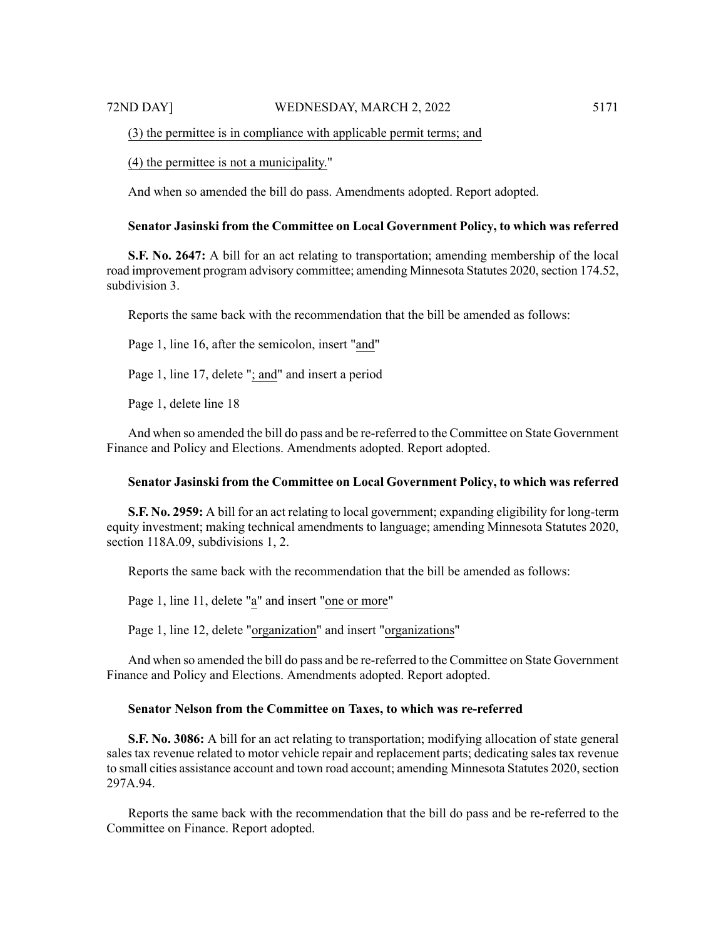(3) the permittee is in compliance with applicable permit terms; and

(4) the permittee is not a municipality."

And when so amended the bill do pass. Amendments adopted. Report adopted.

# **Senator Jasinski from the Committee on Local Government Policy, to which was referred**

**S.F. No. 2647:** A bill for an act relating to transportation; amending membership of the local road improvement program advisory committee; amending Minnesota Statutes 2020, section 174.52, subdivision 3.

Reports the same back with the recommendation that the bill be amended as follows:

Page 1, line 16, after the semicolon, insert "and"

Page 1, line 17, delete "; and" and insert a period

Page 1, delete line 18

And when so amended the bill do pass and be re-referred to the Committee on State Government Finance and Policy and Elections. Amendments adopted. Report adopted.

### **Senator Jasinski from the Committee on Local Government Policy, to which was referred**

**S.F. No. 2959:** A bill for an act relating to local government; expanding eligibility for long-term equity investment; making technical amendments to language; amending Minnesota Statutes 2020, section 118A.09, subdivisions 1, 2.

Reports the same back with the recommendation that the bill be amended as follows:

Page 1, line 11, delete "a" and insert "one or more"

Page 1, line 12, delete "organization" and insert "organizations"

And when so amended the bill do pass and be re-referred to the Committee on State Government Finance and Policy and Elections. Amendments adopted. Report adopted.

# **Senator Nelson from the Committee on Taxes, to which was re-referred**

**S.F. No. 3086:** A bill for an act relating to transportation; modifying allocation of state general sales tax revenue related to motor vehicle repair and replacement parts; dedicating sales tax revenue to small cities assistance account and town road account; amending Minnesota Statutes 2020, section 297A.94.

Reports the same back with the recommendation that the bill do pass and be re-referred to the Committee on Finance. Report adopted.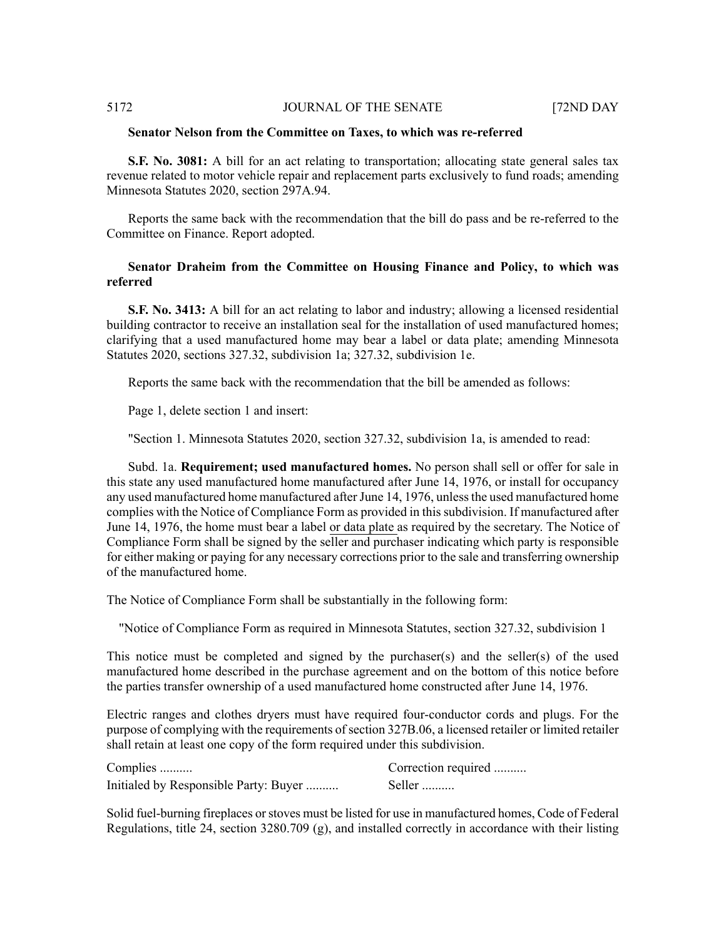# **Senator Nelson from the Committee on Taxes, to which was re-referred**

**S.F. No. 3081:** A bill for an act relating to transportation; allocating state general sales tax revenue related to motor vehicle repair and replacement parts exclusively to fund roads; amending Minnesota Statutes 2020, section 297A.94.

Reports the same back with the recommendation that the bill do pass and be re-referred to the Committee on Finance. Report adopted.

# **Senator Draheim from the Committee on Housing Finance and Policy, to which was referred**

**S.F. No. 3413:** A bill for an act relating to labor and industry; allowing a licensed residential building contractor to receive an installation seal for the installation of used manufactured homes; clarifying that a used manufactured home may bear a label or data plate; amending Minnesota Statutes 2020, sections 327.32, subdivision 1a; 327.32, subdivision 1e.

Reports the same back with the recommendation that the bill be amended as follows:

Page 1, delete section 1 and insert:

"Section 1. Minnesota Statutes 2020, section 327.32, subdivision 1a, is amended to read:

Subd. 1a. **Requirement; used manufactured homes.** No person shall sell or offer for sale in this state any used manufactured home manufactured after June 14, 1976, or install for occupancy any used manufactured home manufactured afterJune 14, 1976, unlessthe used manufactured home complies with the Notice of Compliance Form as provided in this subdivision. If manufactured after June 14, 1976, the home must bear a label or data plate as required by the secretary. The Notice of Compliance Form shall be signed by the seller and purchaser indicating which party is responsible for either making or paying for any necessary corrections prior to the sale and transferring ownership of the manufactured home.

The Notice of Compliance Form shall be substantially in the following form:

"Notice of Compliance Form as required in Minnesota Statutes, section 327.32, subdivision 1

This notice must be completed and signed by the purchaser(s) and the seller(s) of the used manufactured home described in the purchase agreement and on the bottom of this notice before the parties transfer ownership of a used manufactured home constructed after June 14, 1976.

Electric ranges and clothes dryers must have required four-conductor cords and plugs. For the purpose of complying with the requirements of section 327B.06, a licensed retailer or limited retailer shall retain at least one copy of the form required under this subdivision.

| Complies                              | Correction required |
|---------------------------------------|---------------------|
| Initialed by Responsible Party: Buyer | Seller              |

Solid fuel-burning fireplaces or stoves must be listed for use in manufactured homes, Code of Federal Regulations, title 24, section 3280.709 (g), and installed correctly in accordance with their listing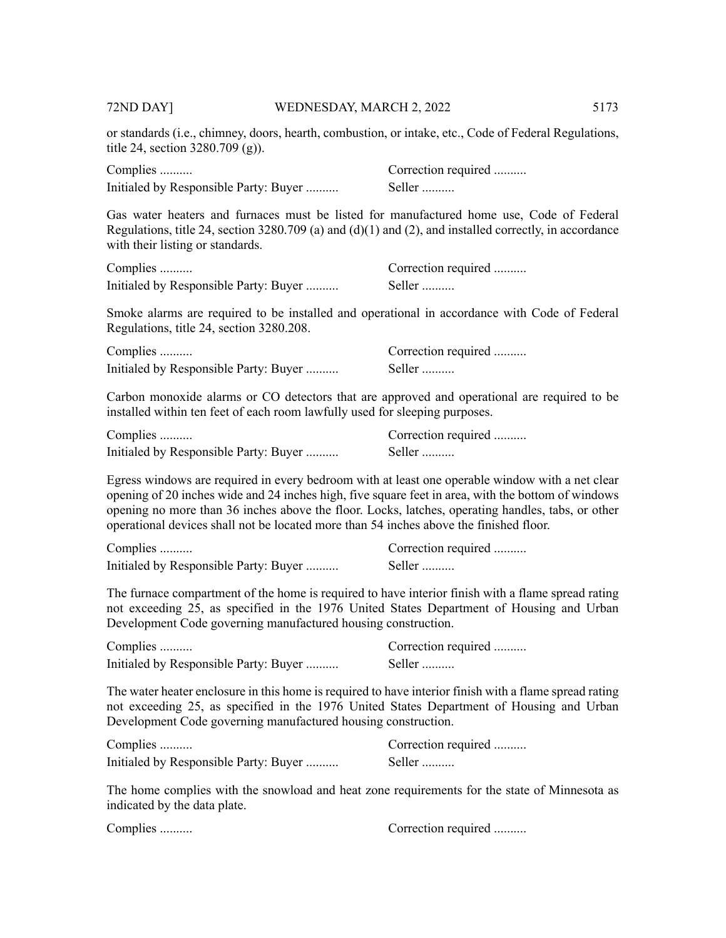or standards (i.e., chimney, doors, hearth, combustion, or intake, etc., Code of Federal Regulations, title 24, section 3280.709 (g)).

| Complies                              | Correction required |
|---------------------------------------|---------------------|
| Initialed by Responsible Party: Buyer | Seller              |

Gas water heaters and furnaces must be listed for manufactured home use, Code of Federal Regulations, title 24, section 3280.709 (a) and (d)(1) and (2), and installed correctly, in accordance with their listing or standards.

| Complies                              | Correction required |
|---------------------------------------|---------------------|
| Initialed by Responsible Party: Buyer | Seller              |

Smoke alarms are required to be installed and operational in accordance with Code of Federal Regulations, title 24, section 3280.208.

| Complies                              | Correction required |
|---------------------------------------|---------------------|
| Initialed by Responsible Party: Buyer | Seller              |

Carbon monoxide alarms or CO detectors that are approved and operational are required to be installed within ten feet of each room lawfully used for sleeping purposes.

| Complies                              | Correction required |
|---------------------------------------|---------------------|
| Initialed by Responsible Party: Buyer | Seller              |

Egress windows are required in every bedroom with at least one operable window with a net clear opening of 20 inches wide and 24 inches high, five square feet in area, with the bottom of windows opening no more than 36 inches above the floor. Locks, latches, operating handles, tabs, or other operational devices shall not be located more than 54 inches above the finished floor.

| Complies                              | Correction required |
|---------------------------------------|---------------------|
| Initialed by Responsible Party: Buyer | Seller              |

The furnace compartment of the home is required to have interior finish with a flame spread rating not exceeding 25, as specified in the 1976 United States Department of Housing and Urban Development Code governing manufactured housing construction.

| Complies                              | Correction required |
|---------------------------------------|---------------------|
| Initialed by Responsible Party: Buyer | Seller              |

The water heater enclosure in this home is required to have interior finish with a flame spread rating not exceeding 25, as specified in the 1976 United States Department of Housing and Urban Development Code governing manufactured housing construction.

| Complies                              | Correction required |
|---------------------------------------|---------------------|
| Initialed by Responsible Party: Buyer | Seller              |

The home complies with the snowload and heat zone requirements for the state of Minnesota as indicated by the data plate.

| Complies | Correction required |
|----------|---------------------|
|----------|---------------------|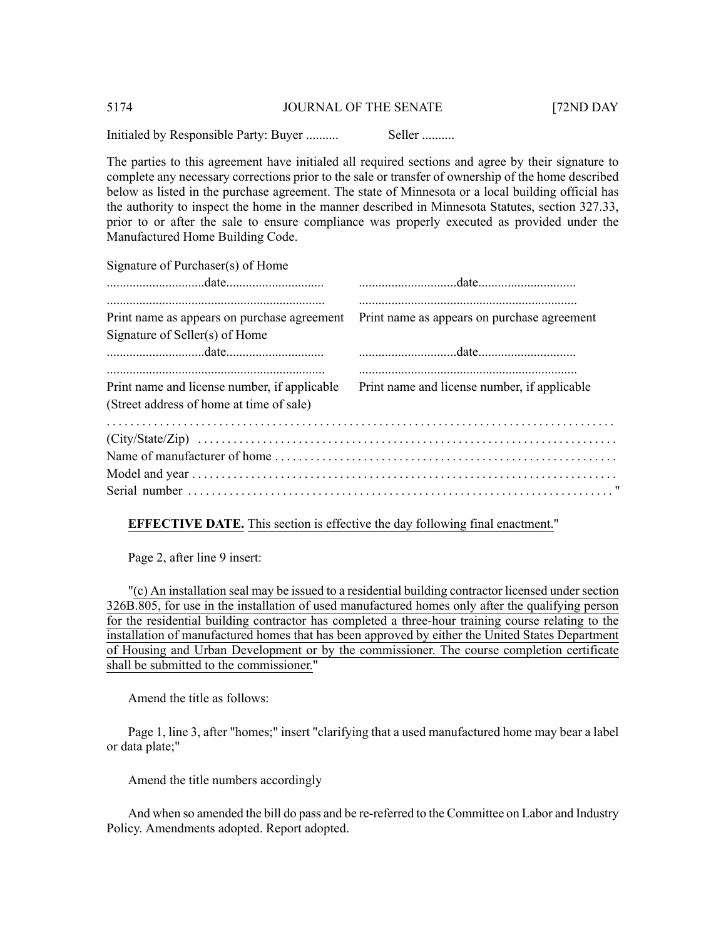Initialed by Responsible Party: Buyer .......... Seller ..........

The parties to this agreement have initialed all required sections and agree by their signature to complete any necessary corrections prior to the sale or transfer of ownership of the home described below as listed in the purchase agreement. The state of Minnesota or a local building official has the authority to inspect the home in the manner described in Minnesota Statutes, section 327.33, prior to or after the sale to ensure compliance was properly executed as provided under the Manufactured Home Building Code.

Signature of Purchaser(s) of Home

| Print name as appears on purchase agreement Print name as appears on purchase agreement |                                              |
|-----------------------------------------------------------------------------------------|----------------------------------------------|
| Signature of Seller(s) of Home                                                          |                                              |
|                                                                                         |                                              |
| Print name and license number, if applicable                                            | Print name and license number, if applicable |
| (Street address of home at time of sale)                                                |                                              |
|                                                                                         |                                              |
|                                                                                         |                                              |
|                                                                                         |                                              |
|                                                                                         |                                              |
|                                                                                         |                                              |

# **EFFECTIVE DATE.** This section is effective the day following final enactment."

Page 2, after line 9 insert:

"(c) An installation seal may be issued to a residential building contractor licensed under section 326B.805, for use in the installation of used manufactured homes only after the qualifying person for the residential building contractor has completed a three-hour training course relating to the installation of manufactured homes that has been approved by either the United States Department of Housing and Urban Development or by the commissioner. The course completion certificate shall be submitted to the commissioner."

Amend the title as follows:

Page 1, line 3, after "homes;" insert "clarifying that a used manufactured home may bear a label or data plate;"

Amend the title numbers accordingly

And when so amended the bill do pass and be re-referred to the Committee on Labor and Industry Policy. Amendments adopted. Report adopted.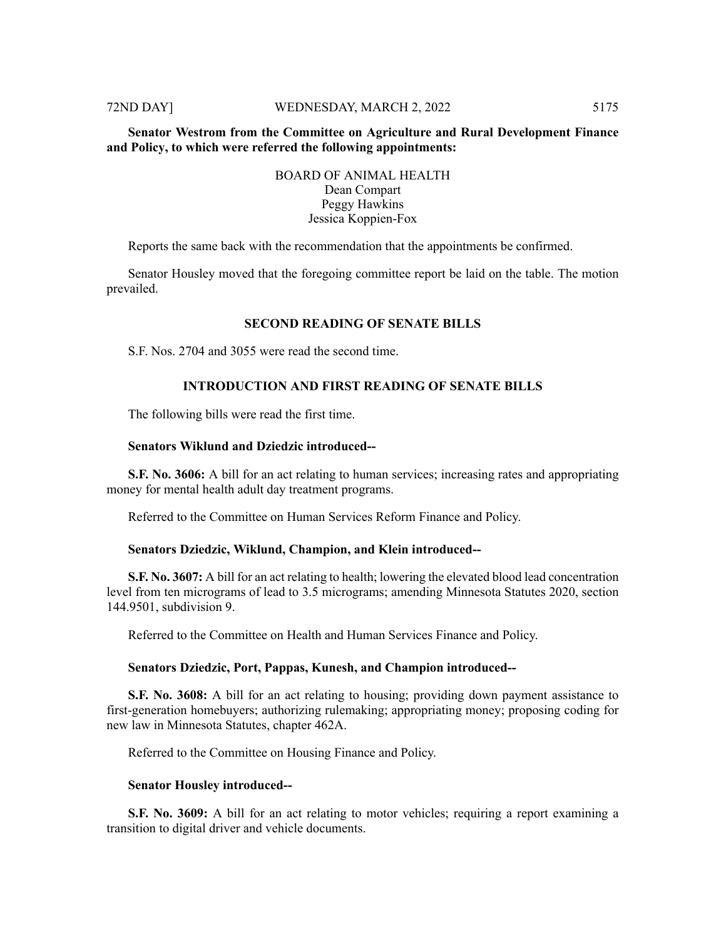# **Senator Westrom from the Committee on Agriculture and Rural Development Finance and Policy, to which were referred the following appointments:**

# BOARD OF ANIMAL HEALTH Dean Compart Peggy Hawkins Jessica Koppien-Fox

Reports the same back with the recommendation that the appointments be confirmed.

Senator Housley moved that the foregoing committee report be laid on the table. The motion prevailed.

#### **SECOND READING OF SENATE BILLS**

S.F. Nos. 2704 and 3055 were read the second time.

# **INTRODUCTION AND FIRST READING OF SENATE BILLS**

The following bills were read the first time.

# **Senators Wiklund and Dziedzic introduced--**

**S.F. No. 3606:** A bill for an act relating to human services; increasing rates and appropriating money for mental health adult day treatment programs.

Referred to the Committee on Human Services Reform Finance and Policy.

# **Senators Dziedzic, Wiklund, Champion, and Klein introduced--**

**S.F. No. 3607:** A bill for an act relating to health; lowering the elevated blood lead concentration level from ten micrograms of lead to 3.5 micrograms; amending Minnesota Statutes 2020, section 144.9501, subdivision 9.

Referred to the Committee on Health and Human Services Finance and Policy.

#### **Senators Dziedzic, Port, Pappas, Kunesh, and Champion introduced--**

**S.F. No. 3608:** A bill for an act relating to housing; providing down payment assistance to first-generation homebuyers; authorizing rulemaking; appropriating money; proposing coding for new law in Minnesota Statutes, chapter 462A.

Referred to the Committee on Housing Finance and Policy.

#### **Senator Housley introduced--**

**S.F. No. 3609:** A bill for an act relating to motor vehicles; requiring a report examining a transition to digital driver and vehicle documents.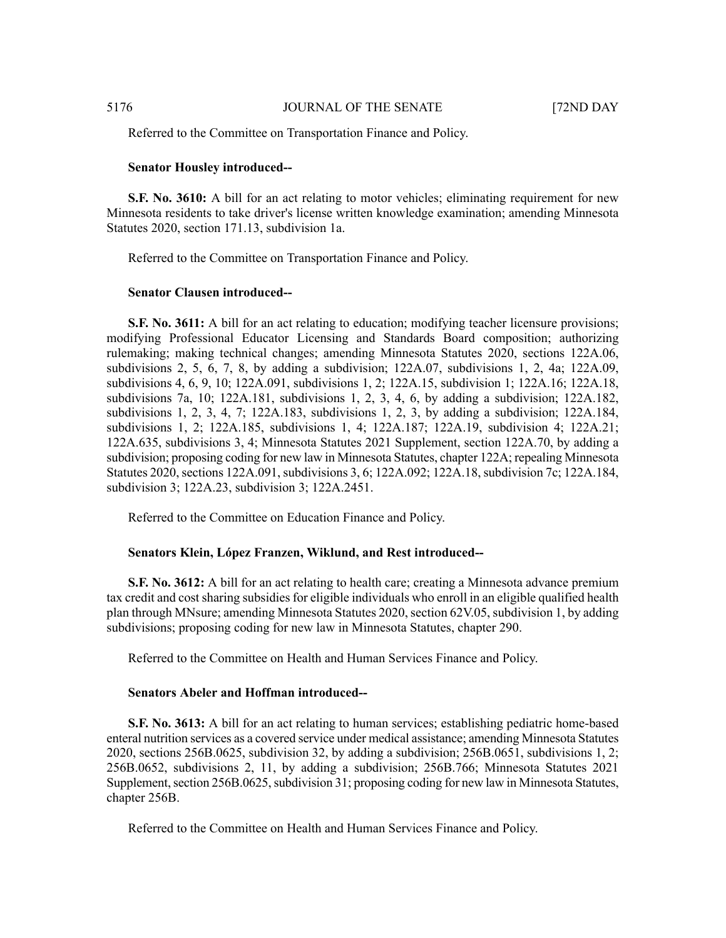Referred to the Committee on Transportation Finance and Policy.

#### **Senator Housley introduced--**

**S.F. No. 3610:** A bill for an act relating to motor vehicles; eliminating requirement for new Minnesota residents to take driver's license written knowledge examination; amending Minnesota Statutes 2020, section 171.13, subdivision 1a.

Referred to the Committee on Transportation Finance and Policy.

# **Senator Clausen introduced--**

**S.F. No. 3611:** A bill for an act relating to education; modifying teacher licensure provisions; modifying Professional Educator Licensing and Standards Board composition; authorizing rulemaking; making technical changes; amending Minnesota Statutes 2020, sections 122A.06, subdivisions 2, 5, 6, 7, 8, by adding a subdivision;  $122A.07$ , subdivisions 1, 2, 4a;  $122A.09$ , subdivisions 4, 6, 9, 10; 122A.091, subdivisions 1, 2; 122A.15, subdivision 1; 122A.16; 122A.18, subdivisions 7a, 10; 122A.181, subdivisions 1, 2, 3, 4, 6, by adding a subdivision; 122A.182, subdivisions 1, 2, 3, 4, 7; 122A.183, subdivisions 1, 2, 3, by adding a subdivision; 122A.184, subdivisions 1, 2; 122A.185, subdivisions 1, 4; 122A.187; 122A.19, subdivision 4; 122A.21; 122A.635, subdivisions 3, 4; Minnesota Statutes 2021 Supplement, section 122A.70, by adding a subdivision; proposing coding for new law in Minnesota Statutes, chapter 122A; repealing Minnesota Statutes 2020, sections 122A.091, subdivisions 3, 6; 122A.092; 122A.18, subdivision 7c; 122A.184, subdivision 3; 122A.23, subdivision 3; 122A.2451.

Referred to the Committee on Education Finance and Policy.

# **Senators Klein, López Franzen, Wiklund, and Rest introduced--**

**S.F. No. 3612:** A bill for an act relating to health care; creating a Minnesota advance premium tax credit and cost sharing subsidies for eligible individuals who enroll in an eligible qualified health plan through MNsure; amending Minnesota Statutes 2020, section 62V.05, subdivision 1, by adding subdivisions; proposing coding for new law in Minnesota Statutes, chapter 290.

Referred to the Committee on Health and Human Services Finance and Policy.

# **Senators Abeler and Hoffman introduced--**

**S.F. No. 3613:** A bill for an act relating to human services; establishing pediatric home-based enteral nutrition services as a covered service under medical assistance; amending Minnesota Statutes 2020, sections 256B.0625, subdivision 32, by adding a subdivision; 256B.0651, subdivisions 1, 2; 256B.0652, subdivisions 2, 11, by adding a subdivision; 256B.766; Minnesota Statutes 2021 Supplement, section 256B.0625, subdivision 31; proposing coding for new law in Minnesota Statutes, chapter 256B.

Referred to the Committee on Health and Human Services Finance and Policy.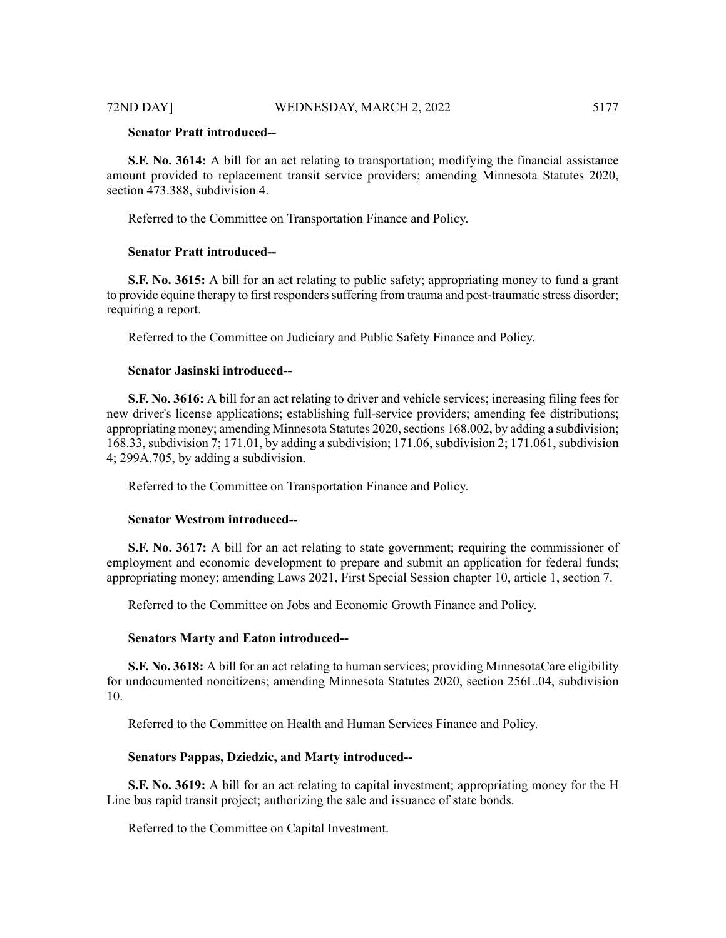# **Senator Pratt introduced--**

**S.F. No. 3614:** A bill for an act relating to transportation; modifying the financial assistance amount provided to replacement transit service providers; amending Minnesota Statutes 2020, section 473.388, subdivision 4.

Referred to the Committee on Transportation Finance and Policy.

# **Senator Pratt introduced--**

**S.F. No. 3615:** A bill for an act relating to public safety; appropriating money to fund a grant to provide equine therapy to first responders suffering from trauma and post-traumatic stress disorder; requiring a report.

Referred to the Committee on Judiciary and Public Safety Finance and Policy.

# **Senator Jasinski introduced--**

**S.F. No. 3616:** A bill for an act relating to driver and vehicle services; increasing filing fees for new driver's license applications; establishing full-service providers; amending fee distributions; appropriating money; amending Minnesota Statutes 2020, sections 168.002, by adding a subdivision; 168.33, subdivision 7; 171.01, by adding a subdivision; 171.06, subdivision 2; 171.061, subdivision 4; 299A.705, by adding a subdivision.

Referred to the Committee on Transportation Finance and Policy.

#### **Senator Westrom introduced--**

**S.F. No. 3617:** A bill for an act relating to state government; requiring the commissioner of employment and economic development to prepare and submit an application for federal funds; appropriating money; amending Laws 2021, First Special Session chapter 10, article 1, section 7.

Referred to the Committee on Jobs and Economic Growth Finance and Policy.

#### **Senators Marty and Eaton introduced--**

**S.F. No. 3618:** A bill for an act relating to human services; providing MinnesotaCare eligibility for undocumented noncitizens; amending Minnesota Statutes 2020, section 256L.04, subdivision 10.

Referred to the Committee on Health and Human Services Finance and Policy.

#### **Senators Pappas, Dziedzic, and Marty introduced--**

**S.F. No. 3619:** A bill for an act relating to capital investment; appropriating money for the H Line bus rapid transit project; authorizing the sale and issuance of state bonds.

Referred to the Committee on Capital Investment.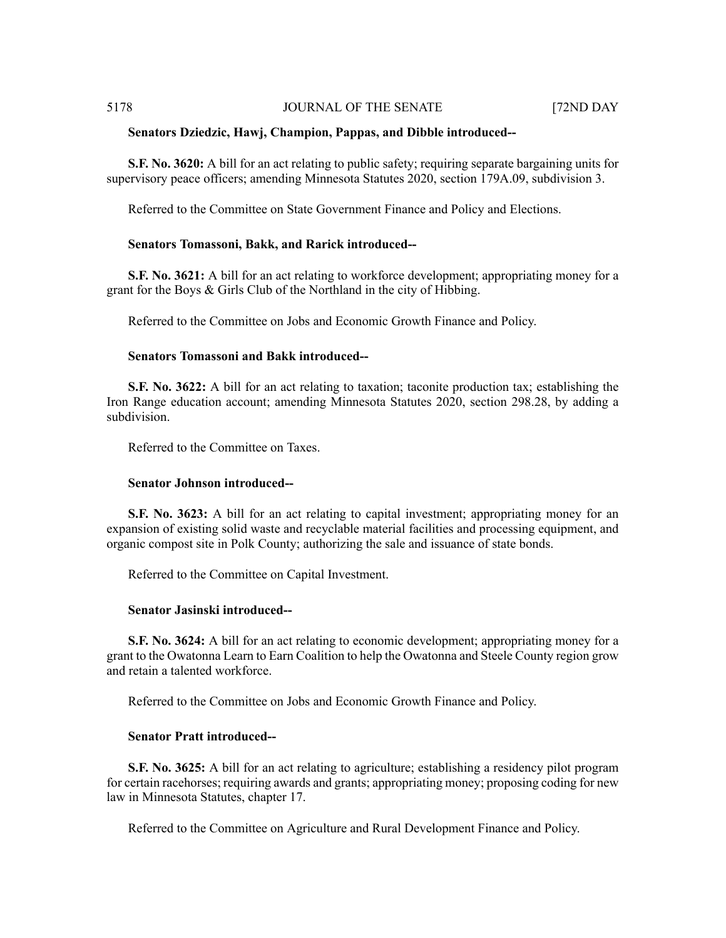#### **Senators Dziedzic, Hawj, Champion, Pappas, and Dibble introduced--**

**S.F. No. 3620:** A bill for an act relating to public safety; requiring separate bargaining units for supervisory peace officers; amending Minnesota Statutes 2020, section 179A.09, subdivision 3.

Referred to the Committee on State Government Finance and Policy and Elections.

#### **Senators Tomassoni, Bakk, and Rarick introduced--**

**S.F. No. 3621:** A bill for an act relating to workforce development; appropriating money for a grant for the Boys & Girls Club of the Northland in the city of Hibbing.

Referred to the Committee on Jobs and Economic Growth Finance and Policy.

#### **Senators Tomassoni and Bakk introduced--**

**S.F. No. 3622:** A bill for an act relating to taxation; taconite production tax; establishing the Iron Range education account; amending Minnesota Statutes 2020, section 298.28, by adding a subdivision.

Referred to the Committee on Taxes.

# **Senator Johnson introduced--**

**S.F. No. 3623:** A bill for an act relating to capital investment; appropriating money for an expansion of existing solid waste and recyclable material facilities and processing equipment, and organic compost site in Polk County; authorizing the sale and issuance of state bonds.

Referred to the Committee on Capital Investment.

#### **Senator Jasinski introduced--**

**S.F. No. 3624:** A bill for an act relating to economic development; appropriating money for a grant to the Owatonna Learn to Earn Coalition to help the Owatonna and Steele County region grow and retain a talented workforce.

Referred to the Committee on Jobs and Economic Growth Finance and Policy.

# **Senator Pratt introduced--**

**S.F. No. 3625:** A bill for an act relating to agriculture; establishing a residency pilot program for certain racehorses; requiring awards and grants; appropriating money; proposing coding for new law in Minnesota Statutes, chapter 17.

Referred to the Committee on Agriculture and Rural Development Finance and Policy.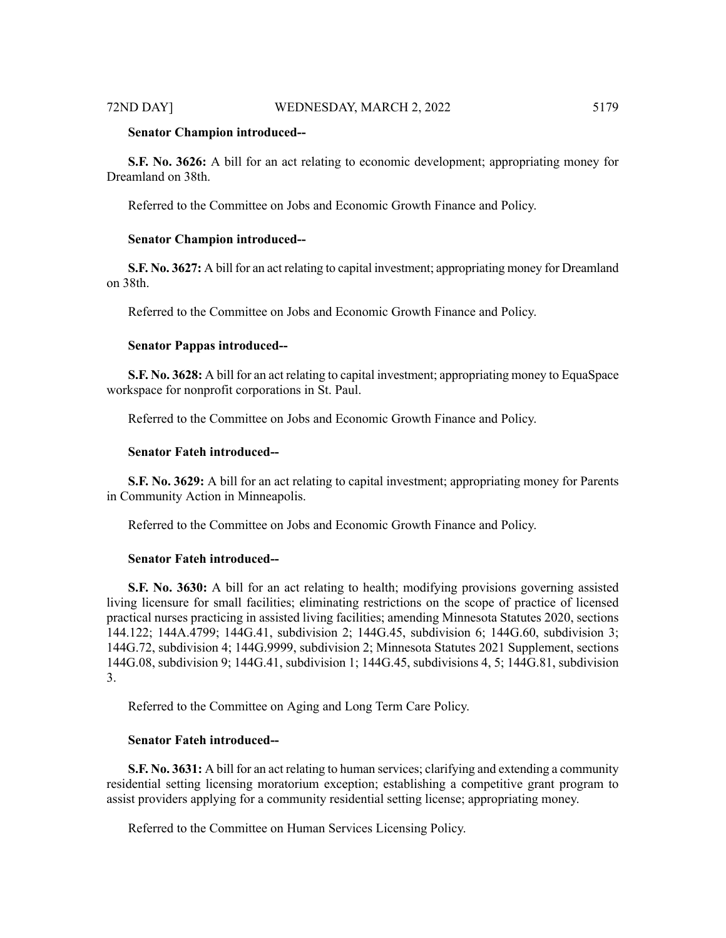### **Senator Champion introduced--**

**S.F. No. 3626:** A bill for an act relating to economic development; appropriating money for Dreamland on 38th.

Referred to the Committee on Jobs and Economic Growth Finance and Policy.

# **Senator Champion introduced--**

**S.F. No. 3627:** A bill for an act relating to capital investment; appropriating money for Dreamland on 38th.

Referred to the Committee on Jobs and Economic Growth Finance and Policy.

#### **Senator Pappas introduced--**

**S.F. No. 3628:** A bill for an act relating to capital investment; appropriating money to EquaSpace workspace for nonprofit corporations in St. Paul.

Referred to the Committee on Jobs and Economic Growth Finance and Policy.

# **Senator Fateh introduced--**

**S.F. No. 3629:** A bill for an act relating to capital investment; appropriating money for Parents in Community Action in Minneapolis.

Referred to the Committee on Jobs and Economic Growth Finance and Policy.

#### **Senator Fateh introduced--**

**S.F. No. 3630:** A bill for an act relating to health; modifying provisions governing assisted living licensure for small facilities; eliminating restrictions on the scope of practice of licensed practical nurses practicing in assisted living facilities; amending Minnesota Statutes 2020, sections 144.122; 144A.4799; 144G.41, subdivision 2; 144G.45, subdivision 6; 144G.60, subdivision 3; 144G.72, subdivision 4; 144G.9999, subdivision 2; Minnesota Statutes 2021 Supplement, sections 144G.08, subdivision 9; 144G.41, subdivision 1; 144G.45, subdivisions 4, 5; 144G.81, subdivision 3.

Referred to the Committee on Aging and Long Term Care Policy.

# **Senator Fateh introduced--**

**S.F. No. 3631:** A bill for an act relating to human services; clarifying and extending a community residential setting licensing moratorium exception; establishing a competitive grant program to assist providers applying for a community residential setting license; appropriating money.

Referred to the Committee on Human Services Licensing Policy.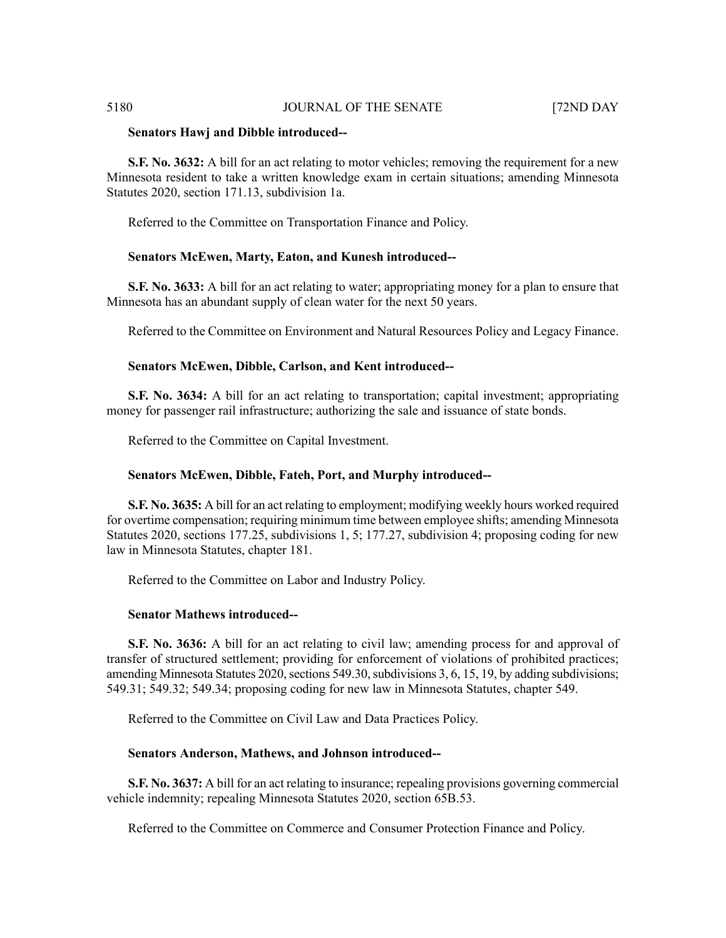### **Senators Hawj and Dibble introduced--**

**S.F. No. 3632:** A bill for an act relating to motor vehicles; removing the requirement for a new Minnesota resident to take a written knowledge exam in certain situations; amending Minnesota Statutes 2020, section 171.13, subdivision 1a.

Referred to the Committee on Transportation Finance and Policy.

# **Senators McEwen, Marty, Eaton, and Kunesh introduced--**

**S.F. No. 3633:** A bill for an act relating to water; appropriating money for a plan to ensure that Minnesota has an abundant supply of clean water for the next 50 years.

Referred to the Committee on Environment and Natural Resources Policy and Legacy Finance.

### **Senators McEwen, Dibble, Carlson, and Kent introduced--**

**S.F. No. 3634:** A bill for an act relating to transportation; capital investment; appropriating money for passenger rail infrastructure; authorizing the sale and issuance of state bonds.

Referred to the Committee on Capital Investment.

### **Senators McEwen, Dibble, Fateh, Port, and Murphy introduced--**

**S.F. No. 3635:** A bill for an act relating to employment; modifying weekly hours worked required for overtime compensation; requiring minimum time between employee shifts; amending Minnesota Statutes 2020, sections 177.25, subdivisions 1, 5; 177.27, subdivision 4; proposing coding for new law in Minnesota Statutes, chapter 181.

Referred to the Committee on Labor and Industry Policy.

# **Senator Mathews introduced--**

**S.F. No. 3636:** A bill for an act relating to civil law; amending process for and approval of transfer of structured settlement; providing for enforcement of violations of prohibited practices; amending Minnesota Statutes 2020, sections 549.30, subdivisions 3, 6, 15, 19, by adding subdivisions; 549.31; 549.32; 549.34; proposing coding for new law in Minnesota Statutes, chapter 549.

Referred to the Committee on Civil Law and Data Practices Policy.

#### **Senators Anderson, Mathews, and Johnson introduced--**

**S.F. No. 3637:** A bill for an act relating to insurance; repealing provisions governing commercial vehicle indemnity; repealing Minnesota Statutes 2020, section 65B.53.

Referred to the Committee on Commerce and Consumer Protection Finance and Policy.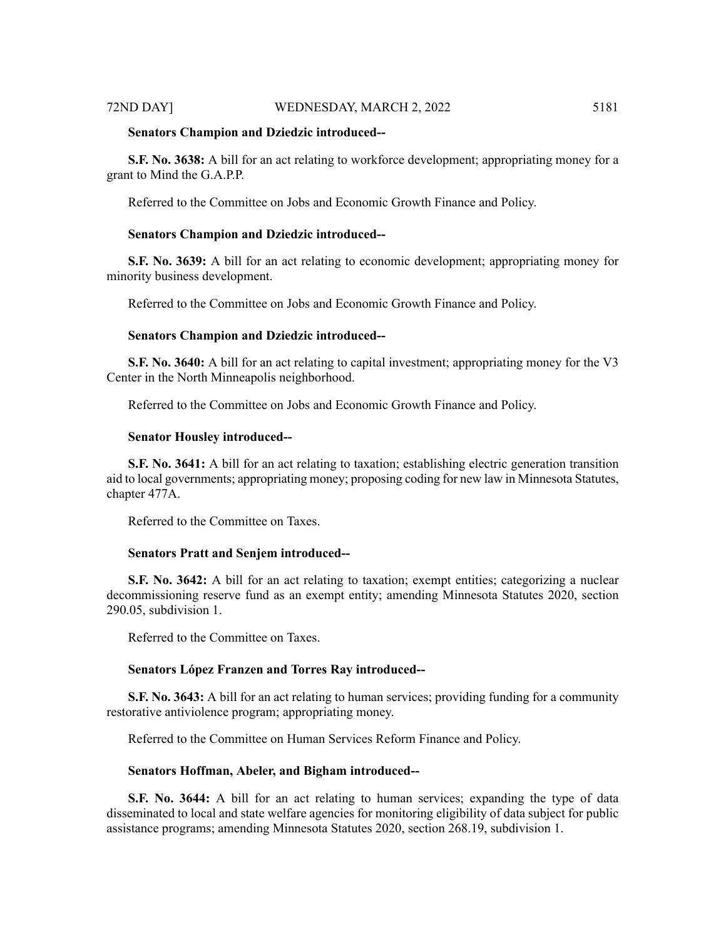#### **Senators Champion and Dziedzic introduced--**

**S.F. No. 3638:** A bill for an act relating to workforce development; appropriating money for a grant to Mind the G.A.P.P.

Referred to the Committee on Jobs and Economic Growth Finance and Policy.

#### **Senators Champion and Dziedzic introduced--**

**S.F. No. 3639:** A bill for an act relating to economic development; appropriating money for minority business development.

Referred to the Committee on Jobs and Economic Growth Finance and Policy.

# **Senators Champion and Dziedzic introduced--**

**S.F. No. 3640:** A bill for an act relating to capital investment; appropriating money for the V3 Center in the North Minneapolis neighborhood.

Referred to the Committee on Jobs and Economic Growth Finance and Policy.

# **Senator Housley introduced--**

**S.F. No. 3641:** A bill for an act relating to taxation; establishing electric generation transition aid to local governments; appropriating money; proposing coding for new law in Minnesota Statutes, chapter 477A.

Referred to the Committee on Taxes.

#### **Senators Pratt and Senjem introduced--**

**S.F. No. 3642:** A bill for an act relating to taxation; exempt entities; categorizing a nuclear decommissioning reserve fund as an exempt entity; amending Minnesota Statutes 2020, section 290.05, subdivision 1.

Referred to the Committee on Taxes.

#### **Senators López Franzen and Torres Ray introduced--**

**S.F. No. 3643:** A bill for an act relating to human services; providing funding for a community restorative antiviolence program; appropriating money.

Referred to the Committee on Human Services Reform Finance and Policy.

# **Senators Hoffman, Abeler, and Bigham introduced--**

**S.F. No. 3644:** A bill for an act relating to human services; expanding the type of data disseminated to local and state welfare agencies for monitoring eligibility of data subject for public assistance programs; amending Minnesota Statutes 2020, section 268.19, subdivision 1.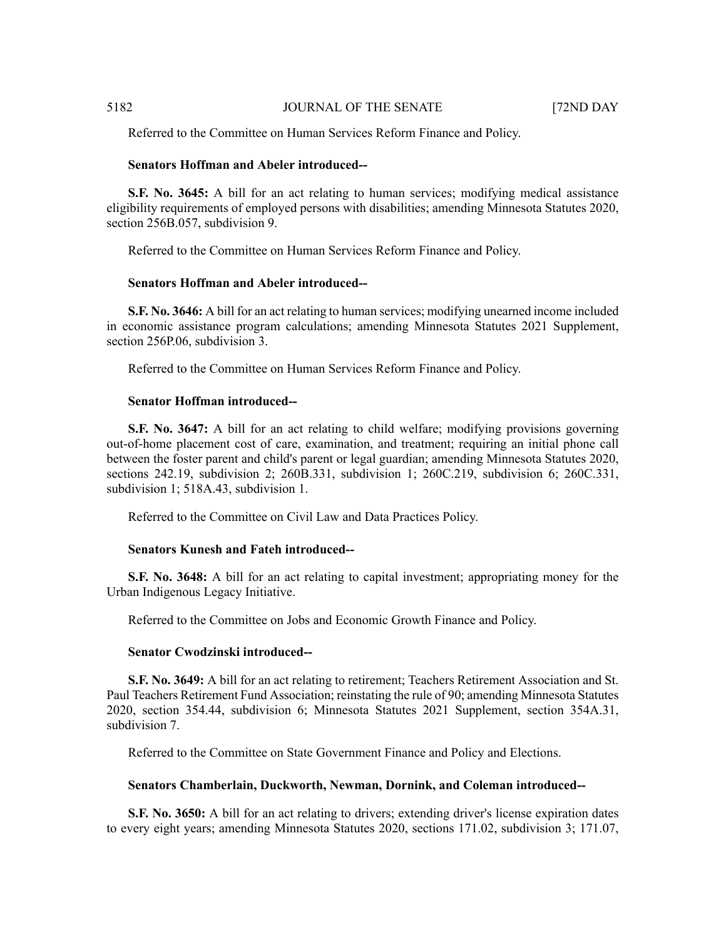Referred to the Committee on Human Services Reform Finance and Policy.

# **Senators Hoffman and Abeler introduced--**

**S.F. No. 3645:** A bill for an act relating to human services; modifying medical assistance eligibility requirements of employed persons with disabilities; amending Minnesota Statutes 2020, section 256B.057, subdivision 9.

Referred to the Committee on Human Services Reform Finance and Policy.

# **Senators Hoffman and Abeler introduced--**

**S.F. No. 3646:** A bill for an act relating to human services; modifying unearned income included in economic assistance program calculations; amending Minnesota Statutes 2021 Supplement, section 256P.06, subdivision 3.

Referred to the Committee on Human Services Reform Finance and Policy.

# **Senator Hoffman introduced--**

**S.F. No. 3647:** A bill for an act relating to child welfare; modifying provisions governing out-of-home placement cost of care, examination, and treatment; requiring an initial phone call between the foster parent and child's parent or legal guardian; amending Minnesota Statutes 2020, sections 242.19, subdivision 2; 260B.331, subdivision 1; 260C.219, subdivision 6; 260C.331, subdivision 1; 518A.43, subdivision 1.

Referred to the Committee on Civil Law and Data Practices Policy.

# **Senators Kunesh and Fateh introduced--**

**S.F. No. 3648:** A bill for an act relating to capital investment; appropriating money for the Urban Indigenous Legacy Initiative.

Referred to the Committee on Jobs and Economic Growth Finance and Policy.

# **Senator Cwodzinski introduced--**

**S.F. No. 3649:** A bill for an act relating to retirement; Teachers Retirement Association and St. Paul Teachers Retirement Fund Association; reinstating the rule of 90; amending Minnesota Statutes 2020, section 354.44, subdivision 6; Minnesota Statutes 2021 Supplement, section 354A.31, subdivision 7.

Referred to the Committee on State Government Finance and Policy and Elections.

# **Senators Chamberlain, Duckworth, Newman, Dornink, and Coleman introduced--**

**S.F. No. 3650:** A bill for an act relating to drivers; extending driver's license expiration dates to every eight years; amending Minnesota Statutes 2020, sections 171.02, subdivision 3; 171.07,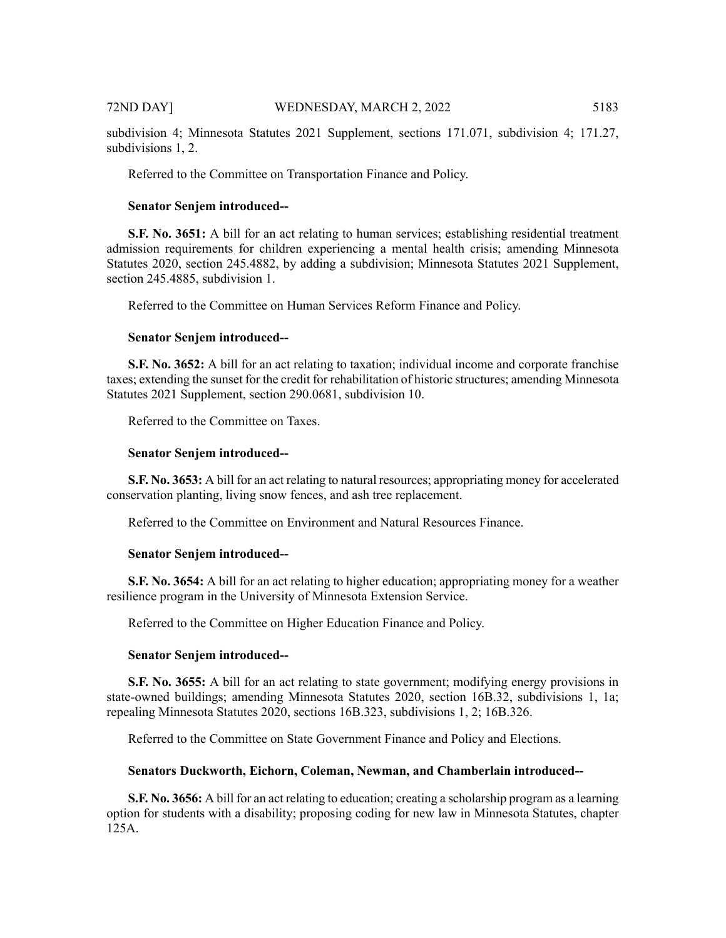subdivision 4; Minnesota Statutes 2021 Supplement, sections 171.071, subdivision 4; 171.27, subdivisions 1, 2.

Referred to the Committee on Transportation Finance and Policy.

### **Senator Senjem introduced--**

**S.F. No. 3651:** A bill for an act relating to human services; establishing residential treatment admission requirements for children experiencing a mental health crisis; amending Minnesota Statutes 2020, section 245.4882, by adding a subdivision; Minnesota Statutes 2021 Supplement, section 245.4885, subdivision 1.

Referred to the Committee on Human Services Reform Finance and Policy.

# **Senator Senjem introduced--**

**S.F. No. 3652:** A bill for an act relating to taxation; individual income and corporate franchise taxes; extending the sunset for the credit for rehabilitation of historic structures; amending Minnesota Statutes 2021 Supplement, section 290.0681, subdivision 10.

Referred to the Committee on Taxes.

# **Senator Senjem introduced--**

**S.F. No. 3653:** A bill for an act relating to natural resources; appropriating money for accelerated conservation planting, living snow fences, and ash tree replacement.

Referred to the Committee on Environment and Natural Resources Finance.

### **Senator Senjem introduced--**

**S.F. No. 3654:** A bill for an act relating to higher education; appropriating money for a weather resilience program in the University of Minnesota Extension Service.

Referred to the Committee on Higher Education Finance and Policy.

#### **Senator Senjem introduced--**

**S.F. No. 3655:** A bill for an act relating to state government; modifying energy provisions in state-owned buildings; amending Minnesota Statutes 2020, section 16B.32, subdivisions 1, 1a; repealing Minnesota Statutes 2020, sections 16B.323, subdivisions 1, 2; 16B.326.

Referred to the Committee on State Government Finance and Policy and Elections.

#### **Senators Duckworth, Eichorn, Coleman, Newman, and Chamberlain introduced--**

**S.F. No. 3656:** A bill for an act relating to education; creating a scholarship program as a learning option for students with a disability; proposing coding for new law in Minnesota Statutes, chapter 125A.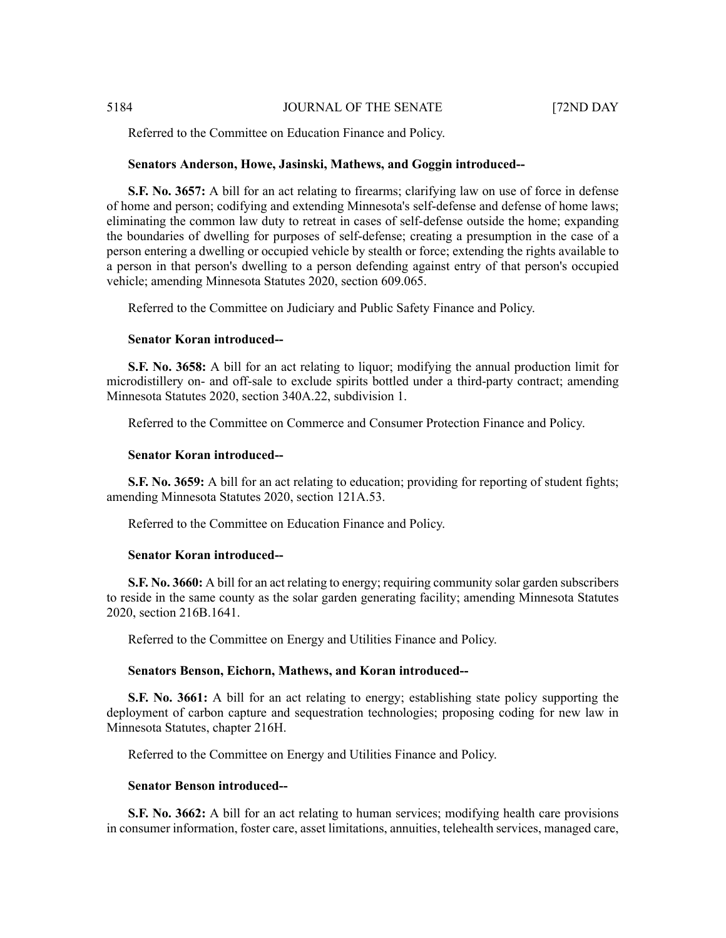Referred to the Committee on Education Finance and Policy.

#### **Senators Anderson, Howe, Jasinski, Mathews, and Goggin introduced--**

**S.F. No. 3657:** A bill for an act relating to firearms; clarifying law on use of force in defense of home and person; codifying and extending Minnesota's self-defense and defense of home laws; eliminating the common law duty to retreat in cases of self-defense outside the home; expanding the boundaries of dwelling for purposes of self-defense; creating a presumption in the case of a person entering a dwelling or occupied vehicle by stealth or force; extending the rights available to a person in that person's dwelling to a person defending against entry of that person's occupied vehicle; amending Minnesota Statutes 2020, section 609.065.

Referred to the Committee on Judiciary and Public Safety Finance and Policy.

# **Senator Koran introduced--**

**S.F. No. 3658:** A bill for an act relating to liquor; modifying the annual production limit for microdistillery on- and off-sale to exclude spirits bottled under a third-party contract; amending Minnesota Statutes 2020, section 340A.22, subdivision 1.

Referred to the Committee on Commerce and Consumer Protection Finance and Policy.

#### **Senator Koran introduced--**

**S.F. No. 3659:** A bill for an act relating to education; providing for reporting of student fights; amending Minnesota Statutes 2020, section 121A.53.

Referred to the Committee on Education Finance and Policy.

# **Senator Koran introduced--**

**S.F. No. 3660:** A bill for an act relating to energy; requiring community solar garden subscribers to reside in the same county as the solar garden generating facility; amending Minnesota Statutes 2020, section 216B.1641.

Referred to the Committee on Energy and Utilities Finance and Policy.

### **Senators Benson, Eichorn, Mathews, and Koran introduced--**

**S.F. No. 3661:** A bill for an act relating to energy; establishing state policy supporting the deployment of carbon capture and sequestration technologies; proposing coding for new law in Minnesota Statutes, chapter 216H.

Referred to the Committee on Energy and Utilities Finance and Policy.

#### **Senator Benson introduced--**

**S.F. No. 3662:** A bill for an act relating to human services; modifying health care provisions in consumer information, foster care, asset limitations, annuities, telehealth services, managed care,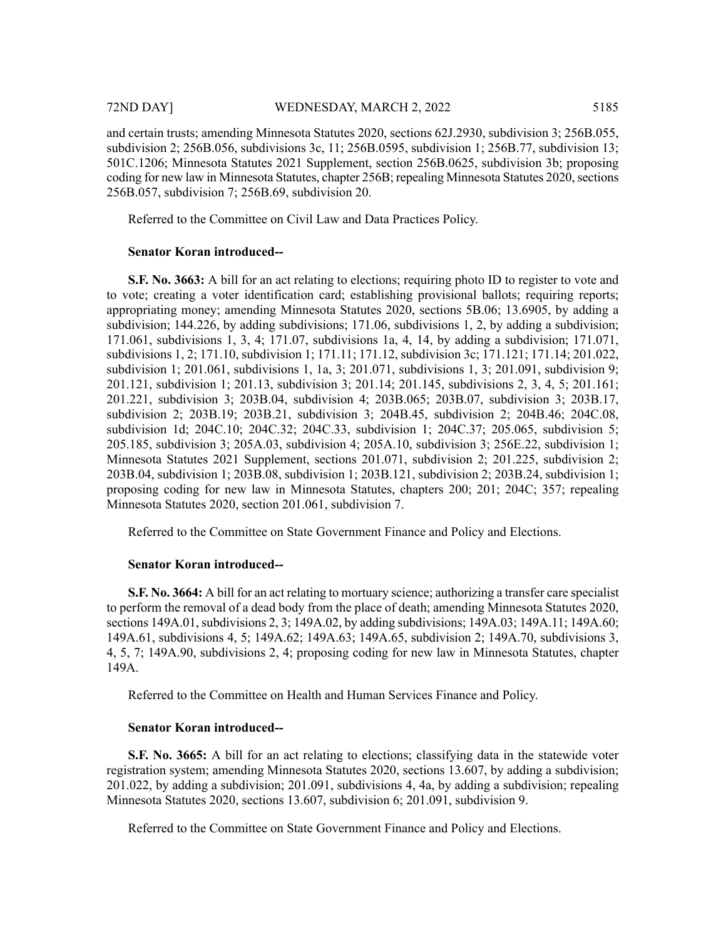and certain trusts; amending Minnesota Statutes 2020, sections 62J.2930, subdivision 3; 256B.055, subdivision 2; 256B.056, subdivisions 3c, 11; 256B.0595, subdivision 1; 256B.77, subdivision 13; 501C.1206; Minnesota Statutes 2021 Supplement, section 256B.0625, subdivision 3b; proposing coding for new law in Minnesota Statutes, chapter 256B; repealing Minnesota Statutes 2020, sections 256B.057, subdivision 7; 256B.69, subdivision 20.

Referred to the Committee on Civil Law and Data Practices Policy.

# **Senator Koran introduced--**

**S.F. No. 3663:** A bill for an act relating to elections; requiring photo ID to register to vote and to vote; creating a voter identification card; establishing provisional ballots; requiring reports; appropriating money; amending Minnesota Statutes 2020, sections 5B.06; 13.6905, by adding a subdivision; 144.226, by adding subdivisions; 171.06, subdivisions 1, 2, by adding a subdivision; 171.061, subdivisions 1, 3, 4; 171.07, subdivisions 1a, 4, 14, by adding a subdivision; 171.071, subdivisions 1, 2; 171.10, subdivision 1; 171.11; 171.12, subdivision 3c; 171.121; 171.14; 201.022, subdivision 1; 201.061, subdivisions 1, 1a, 3; 201.071, subdivisions 1, 3; 201.091, subdivision 9; 201.121, subdivision 1; 201.13, subdivision 3; 201.14; 201.145, subdivisions 2, 3, 4, 5; 201.161; 201.221, subdivision 3; 203B.04, subdivision 4; 203B.065; 203B.07, subdivision 3; 203B.17, subdivision 2; 203B.19; 203B.21, subdivision 3; 204B.45, subdivision 2; 204B.46; 204C.08, subdivision 1d; 204C.10; 204C.32; 204C.33, subdivision 1; 204C.37; 205.065, subdivision 5; 205.185, subdivision 3; 205A.03, subdivision 4; 205A.10, subdivision 3; 256E.22, subdivision 1; Minnesota Statutes 2021 Supplement, sections 201.071, subdivision 2; 201.225, subdivision 2; 203B.04, subdivision 1; 203B.08, subdivision 1; 203B.121, subdivision 2; 203B.24, subdivision 1; proposing coding for new law in Minnesota Statutes, chapters 200; 201; 204C; 357; repealing Minnesota Statutes 2020, section 201.061, subdivision 7.

Referred to the Committee on State Government Finance and Policy and Elections.

# **Senator Koran introduced--**

**S.F. No. 3664:** A bill for an act relating to mortuary science; authorizing a transfer care specialist to perform the removal of a dead body from the place of death; amending Minnesota Statutes 2020, sections 149A.01, subdivisions 2, 3; 149A.02, by adding subdivisions; 149A.03; 149A.11; 149A.60; 149A.61, subdivisions 4, 5; 149A.62; 149A.63; 149A.65, subdivision 2; 149A.70, subdivisions 3, 4, 5, 7; 149A.90, subdivisions 2, 4; proposing coding for new law in Minnesota Statutes, chapter 149A.

Referred to the Committee on Health and Human Services Finance and Policy.

#### **Senator Koran introduced--**

**S.F. No. 3665:** A bill for an act relating to elections; classifying data in the statewide voter registration system; amending Minnesota Statutes 2020, sections 13.607, by adding a subdivision; 201.022, by adding a subdivision; 201.091, subdivisions 4, 4a, by adding a subdivision; repealing Minnesota Statutes 2020, sections 13.607, subdivision 6; 201.091, subdivision 9.

Referred to the Committee on State Government Finance and Policy and Elections.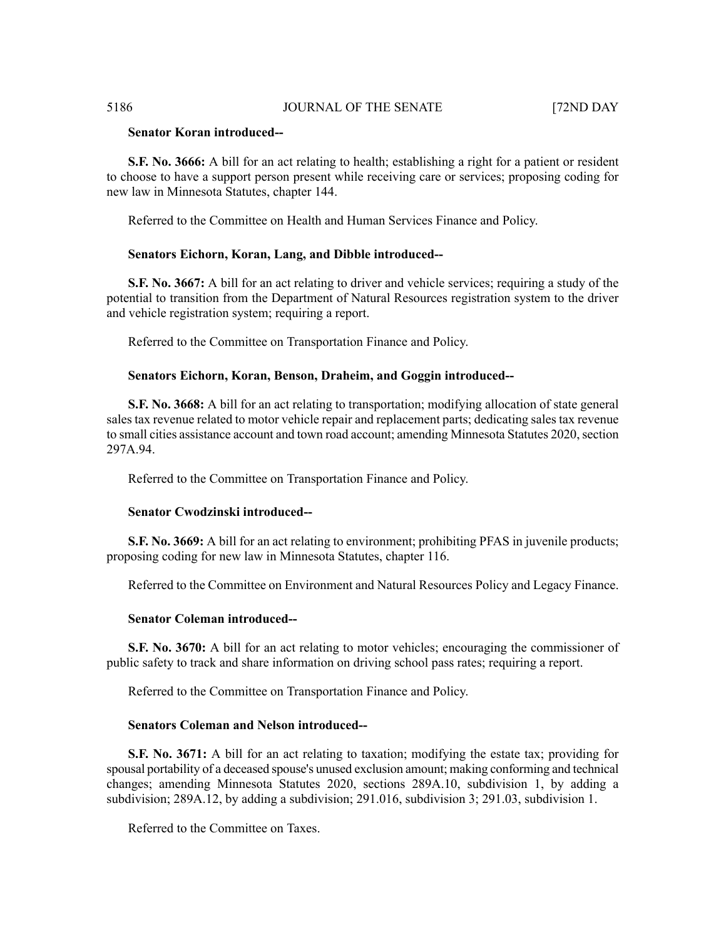# **Senator Koran introduced--**

**S.F. No. 3666:** A bill for an act relating to health; establishing a right for a patient or resident to choose to have a support person present while receiving care or services; proposing coding for new law in Minnesota Statutes, chapter 144.

Referred to the Committee on Health and Human Services Finance and Policy.

# **Senators Eichorn, Koran, Lang, and Dibble introduced--**

**S.F. No. 3667:** A bill for an act relating to driver and vehicle services; requiring a study of the potential to transition from the Department of Natural Resources registration system to the driver and vehicle registration system; requiring a report.

Referred to the Committee on Transportation Finance and Policy.

# **Senators Eichorn, Koran, Benson, Draheim, and Goggin introduced--**

**S.F. No. 3668:** A bill for an act relating to transportation; modifying allocation of state general sales tax revenue related to motor vehicle repair and replacement parts; dedicating sales tax revenue to small cities assistance account and town road account; amending Minnesota Statutes 2020, section 297A.94.

Referred to the Committee on Transportation Finance and Policy.

# **Senator Cwodzinski introduced--**

**S.F. No. 3669:** A bill for an act relating to environment; prohibiting PFAS in juvenile products; proposing coding for new law in Minnesota Statutes, chapter 116.

Referred to the Committee on Environment and Natural Resources Policy and Legacy Finance.

# **Senator Coleman introduced--**

**S.F. No. 3670:** A bill for an act relating to motor vehicles; encouraging the commissioner of public safety to track and share information on driving school pass rates; requiring a report.

Referred to the Committee on Transportation Finance and Policy.

#### **Senators Coleman and Nelson introduced--**

**S.F. No. 3671:** A bill for an act relating to taxation; modifying the estate tax; providing for spousal portability of a deceased spouse's unused exclusion amount; making conforming and technical changes; amending Minnesota Statutes 2020, sections 289A.10, subdivision 1, by adding a subdivision; 289A.12, by adding a subdivision; 291.016, subdivision 3; 291.03, subdivision 1.

Referred to the Committee on Taxes.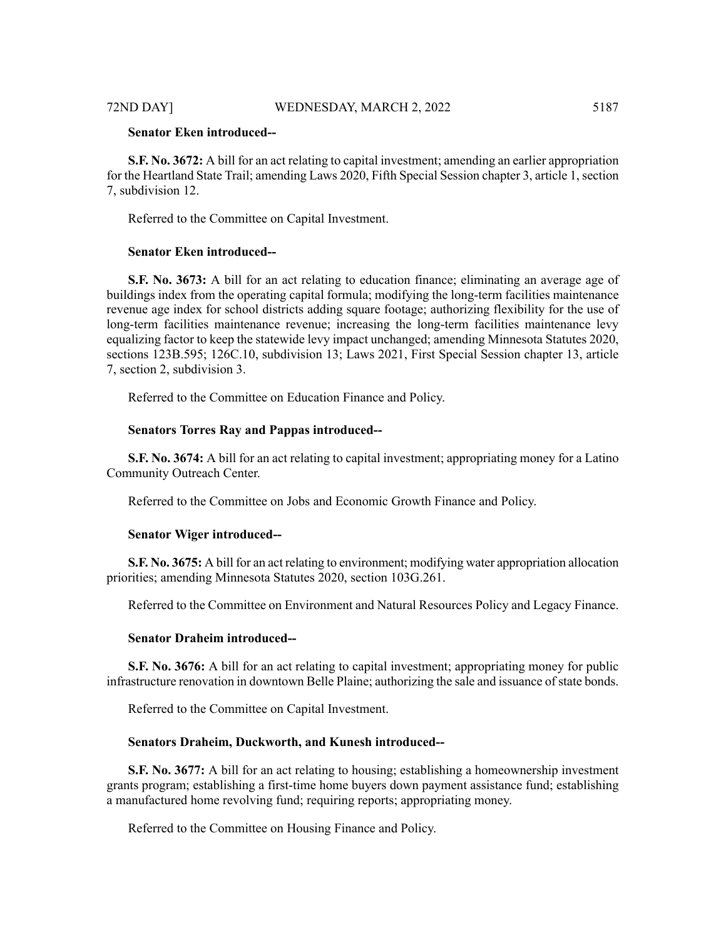# **Senator Eken introduced--**

**S.F. No. 3672:** A bill for an act relating to capital investment; amending an earlier appropriation for the Heartland State Trail; amending Laws 2020, Fifth Special Session chapter 3, article 1, section 7, subdivision 12.

Referred to the Committee on Capital Investment.

# **Senator Eken introduced--**

**S.F. No. 3673:** A bill for an act relating to education finance; eliminating an average age of buildings index from the operating capital formula; modifying the long-term facilities maintenance revenue age index for school districts adding square footage; authorizing flexibility for the use of long-term facilities maintenance revenue; increasing the long-term facilities maintenance levy equalizing factor to keep the statewide levy impact unchanged; amending Minnesota Statutes 2020, sections 123B.595; 126C.10, subdivision 13; Laws 2021, First Special Session chapter 13, article 7, section 2, subdivision 3.

Referred to the Committee on Education Finance and Policy.

# **Senators Torres Ray and Pappas introduced--**

**S.F. No. 3674:** A bill for an act relating to capital investment; appropriating money for a Latino Community Outreach Center.

Referred to the Committee on Jobs and Economic Growth Finance and Policy.

# **Senator Wiger introduced--**

**S.F. No. 3675:** A bill for an act relating to environment; modifying water appropriation allocation priorities; amending Minnesota Statutes 2020, section 103G.261.

Referred to the Committee on Environment and Natural Resources Policy and Legacy Finance.

# **Senator Draheim introduced--**

**S.F. No. 3676:** A bill for an act relating to capital investment; appropriating money for public infrastructure renovation in downtown Belle Plaine; authorizing the sale and issuance of state bonds.

Referred to the Committee on Capital Investment.

# **Senators Draheim, Duckworth, and Kunesh introduced--**

**S.F. No. 3677:** A bill for an act relating to housing; establishing a homeownership investment grants program; establishing a first-time home buyers down payment assistance fund; establishing a manufactured home revolving fund; requiring reports; appropriating money.

Referred to the Committee on Housing Finance and Policy.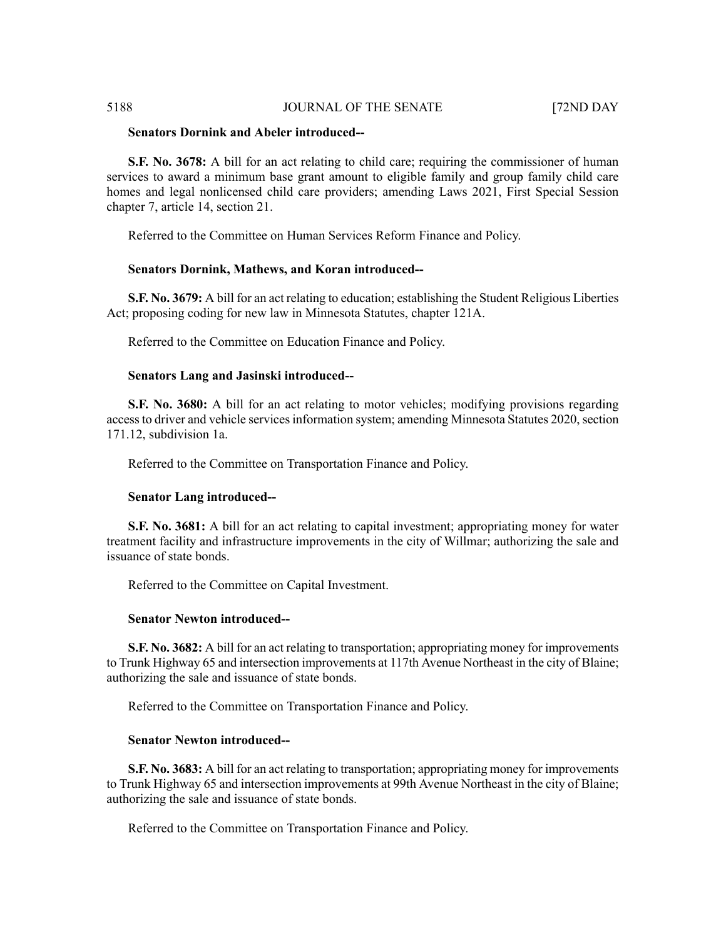# **Senators Dornink and Abeler introduced--**

**S.F. No. 3678:** A bill for an act relating to child care; requiring the commissioner of human services to award a minimum base grant amount to eligible family and group family child care homes and legal nonlicensed child care providers; amending Laws 2021, First Special Session chapter 7, article 14, section 21.

Referred to the Committee on Human Services Reform Finance and Policy.

# **Senators Dornink, Mathews, and Koran introduced--**

**S.F. No. 3679:** A bill for an act relating to education; establishing the Student Religious Liberties Act; proposing coding for new law in Minnesota Statutes, chapter 121A.

Referred to the Committee on Education Finance and Policy.

# **Senators Lang and Jasinski introduced--**

**S.F. No. 3680:** A bill for an act relating to motor vehicles; modifying provisions regarding access to driver and vehicle services information system; amending Minnesota Statutes 2020, section 171.12, subdivision 1a.

Referred to the Committee on Transportation Finance and Policy.

#### **Senator Lang introduced--**

**S.F. No. 3681:** A bill for an act relating to capital investment; appropriating money for water treatment facility and infrastructure improvements in the city of Willmar; authorizing the sale and issuance of state bonds.

Referred to the Committee on Capital Investment.

#### **Senator Newton introduced--**

**S.F. No. 3682:** A bill for an act relating to transportation; appropriating money for improvements to Trunk Highway 65 and intersection improvements at 117th Avenue Northeast in the city of Blaine; authorizing the sale and issuance of state bonds.

Referred to the Committee on Transportation Finance and Policy.

# **Senator Newton introduced--**

**S.F. No. 3683:** A bill for an act relating to transportation; appropriating money for improvements to Trunk Highway 65 and intersection improvements at 99th Avenue Northeast in the city of Blaine; authorizing the sale and issuance of state bonds.

Referred to the Committee on Transportation Finance and Policy.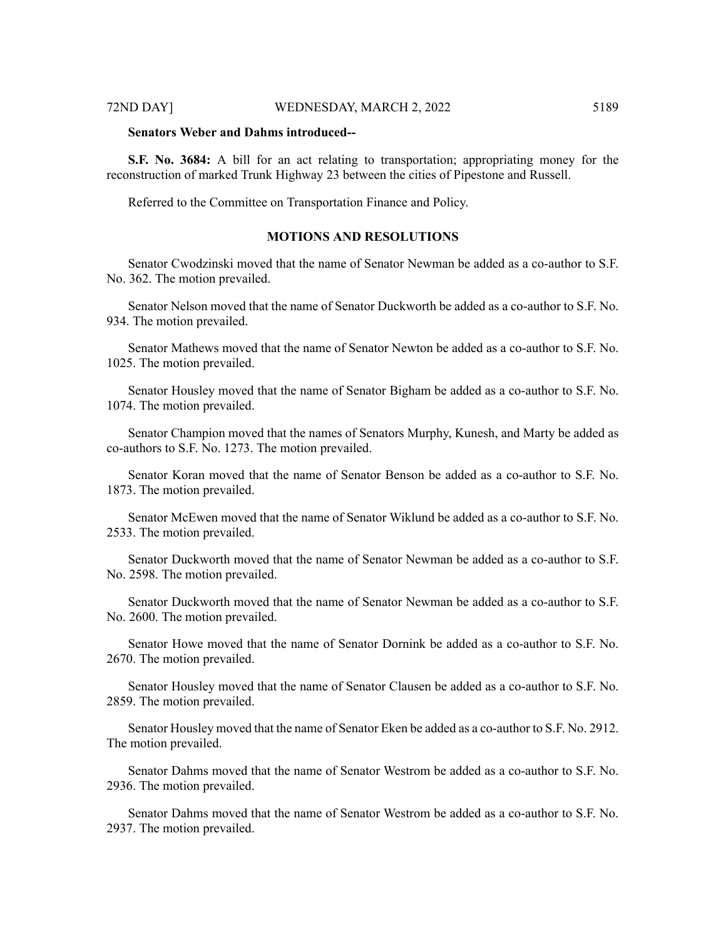#### 72ND DAY] WEDNESDAY, MARCH 2, 2022 5189

# **Senators Weber and Dahms introduced--**

**S.F. No. 3684:** A bill for an act relating to transportation; appropriating money for the reconstruction of marked Trunk Highway 23 between the cities of Pipestone and Russell.

Referred to the Committee on Transportation Finance and Policy.

# **MOTIONS AND RESOLUTIONS**

Senator Cwodzinski moved that the name of Senator Newman be added as a co-author to S.F. No. 362. The motion prevailed.

Senator Nelson moved that the name of Senator Duckworth be added as a co-author to S.F. No. 934. The motion prevailed.

Senator Mathews moved that the name of Senator Newton be added as a co-author to S.F. No. 1025. The motion prevailed.

Senator Housley moved that the name of Senator Bigham be added as a co-author to S.F. No. 1074. The motion prevailed.

Senator Champion moved that the names of Senators Murphy, Kunesh, and Marty be added as co-authors to S.F. No. 1273. The motion prevailed.

Senator Koran moved that the name of Senator Benson be added as a co-author to S.F. No. 1873. The motion prevailed.

Senator McEwen moved that the name of Senator Wiklund be added as a co-author to S.F. No. 2533. The motion prevailed.

Senator Duckworth moved that the name of Senator Newman be added as a co-author to S.F. No. 2598. The motion prevailed.

Senator Duckworth moved that the name of Senator Newman be added as a co-author to S.F. No. 2600. The motion prevailed.

Senator Howe moved that the name of Senator Dornink be added as a co-author to S.F. No. 2670. The motion prevailed.

Senator Housley moved that the name of Senator Clausen be added as a co-author to S.F. No. 2859. The motion prevailed.

Senator Housley moved that the name of Senator Eken be added as a co-author to S.F. No. 2912. The motion prevailed.

Senator Dahms moved that the name of Senator Westrom be added as a co-author to S.F. No. 2936. The motion prevailed.

Senator Dahms moved that the name of Senator Westrom be added as a co-author to S.F. No. 2937. The motion prevailed.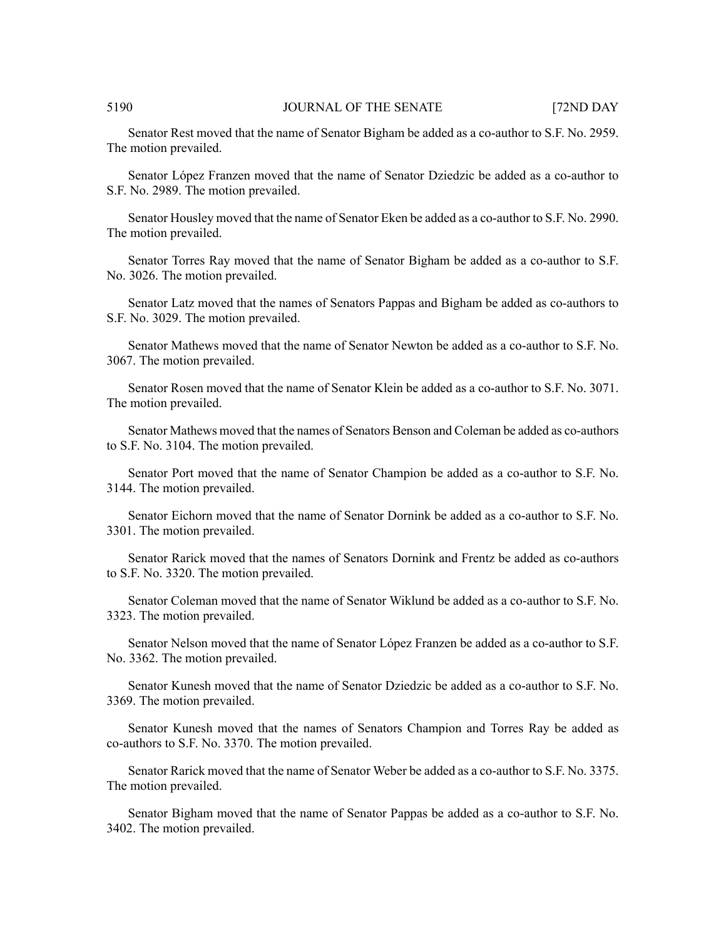Senator Rest moved that the name of Senator Bigham be added as a co-author to S.F. No. 2959. The motion prevailed.

Senator López Franzen moved that the name of Senator Dziedzic be added as a co-author to S.F. No. 2989. The motion prevailed.

Senator Housley moved that the name of Senator Eken be added as a co-author to S.F. No. 2990. The motion prevailed.

Senator Torres Ray moved that the name of Senator Bigham be added as a co-author to S.F. No. 3026. The motion prevailed.

Senator Latz moved that the names of Senators Pappas and Bigham be added as co-authors to S.F. No. 3029. The motion prevailed.

Senator Mathews moved that the name of Senator Newton be added as a co-author to S.F. No. 3067. The motion prevailed.

Senator Rosen moved that the name of Senator Klein be added as a co-author to S.F. No. 3071. The motion prevailed.

Senator Mathews moved that the names of Senators Benson and Coleman be added as co-authors to S.F. No. 3104. The motion prevailed.

Senator Port moved that the name of Senator Champion be added as a co-author to S.F. No. 3144. The motion prevailed.

Senator Eichorn moved that the name of Senator Dornink be added as a co-author to S.F. No. 3301. The motion prevailed.

Senator Rarick moved that the names of Senators Dornink and Frentz be added as co-authors to S.F. No. 3320. The motion prevailed.

Senator Coleman moved that the name of Senator Wiklund be added as a co-author to S.F. No. 3323. The motion prevailed.

Senator Nelson moved that the name of Senator López Franzen be added as a co-author to S.F. No. 3362. The motion prevailed.

Senator Kunesh moved that the name of Senator Dziedzic be added as a co-author to S.F. No. 3369. The motion prevailed.

Senator Kunesh moved that the names of Senators Champion and Torres Ray be added as co-authors to S.F. No. 3370. The motion prevailed.

Senator Rarick moved that the name of Senator Weber be added as a co-author to S.F. No. 3375. The motion prevailed.

Senator Bigham moved that the name of Senator Pappas be added as a co-author to S.F. No. 3402. The motion prevailed.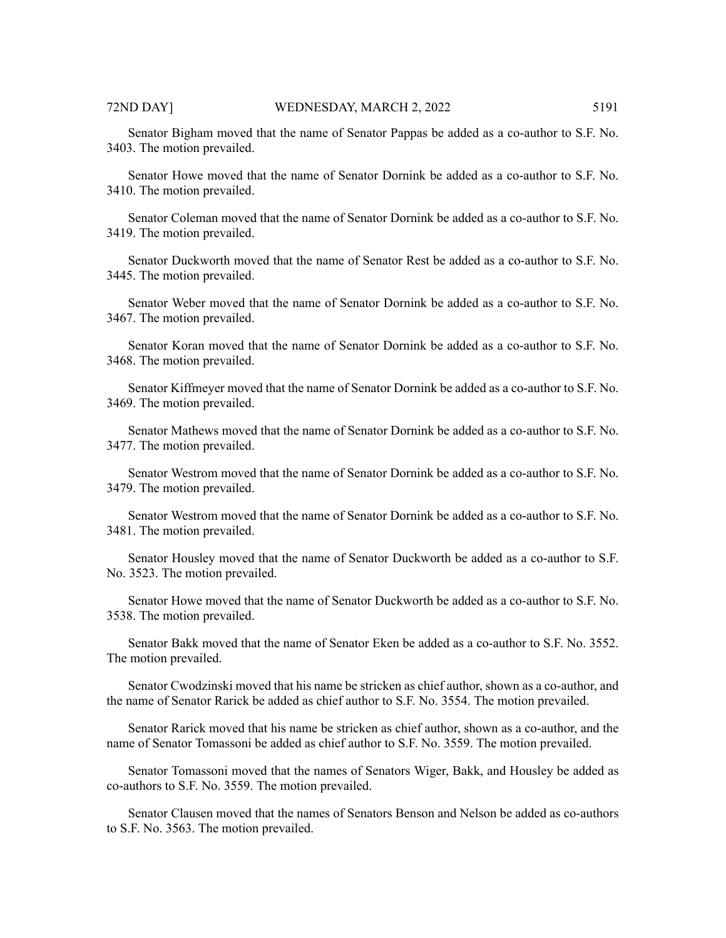Senator Bigham moved that the name of Senator Pappas be added as a co-author to S.F. No. 3403. The motion prevailed.

Senator Howe moved that the name of Senator Dornink be added as a co-author to S.F. No. 3410. The motion prevailed.

Senator Coleman moved that the name of Senator Dornink be added as a co-author to S.F. No. 3419. The motion prevailed.

Senator Duckworth moved that the name of Senator Rest be added as a co-author to S.F. No. 3445. The motion prevailed.

Senator Weber moved that the name of Senator Dornink be added as a co-author to S.F. No. 3467. The motion prevailed.

Senator Koran moved that the name of Senator Dornink be added as a co-author to S.F. No. 3468. The motion prevailed.

Senator Kiffmeyer moved that the name of Senator Dornink be added as a co-author to S.F. No. 3469. The motion prevailed.

Senator Mathews moved that the name of Senator Dornink be added as a co-author to S.F. No. 3477. The motion prevailed.

Senator Westrom moved that the name of Senator Dornink be added as a co-author to S.F. No. 3479. The motion prevailed.

Senator Westrom moved that the name of Senator Dornink be added as a co-author to S.F. No. 3481. The motion prevailed.

Senator Housley moved that the name of Senator Duckworth be added as a co-author to S.F. No. 3523. The motion prevailed.

Senator Howe moved that the name of Senator Duckworth be added as a co-author to S.F. No. 3538. The motion prevailed.

Senator Bakk moved that the name of Senator Eken be added as a co-author to S.F. No. 3552. The motion prevailed.

Senator Cwodzinski moved that his name be stricken as chief author, shown as a co-author, and the name of Senator Rarick be added as chief author to S.F. No. 3554. The motion prevailed.

Senator Rarick moved that his name be stricken as chief author, shown as a co-author, and the name of Senator Tomassoni be added as chief author to S.F. No. 3559. The motion prevailed.

Senator Tomassoni moved that the names of Senators Wiger, Bakk, and Housley be added as co-authors to S.F. No. 3559. The motion prevailed.

Senator Clausen moved that the names of Senators Benson and Nelson be added as co-authors to S.F. No. 3563. The motion prevailed.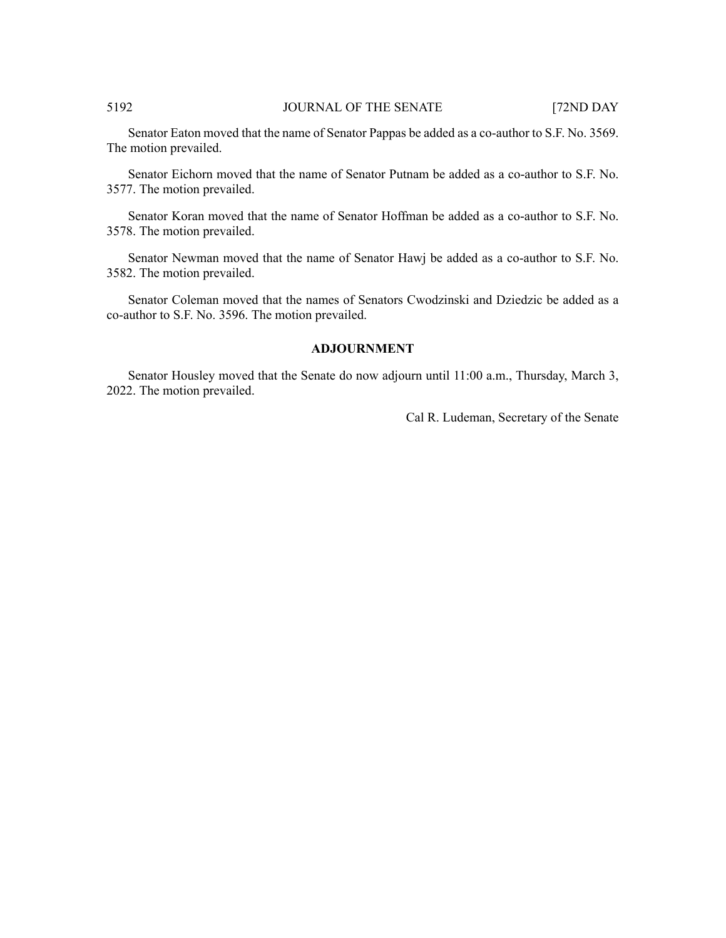Senator Eaton moved that the name of Senator Pappas be added as a co-author to S.F. No. 3569. The motion prevailed.

Senator Eichorn moved that the name of Senator Putnam be added as a co-author to S.F. No. 3577. The motion prevailed.

Senator Koran moved that the name of Senator Hoffman be added as a co-author to S.F. No. 3578. The motion prevailed.

Senator Newman moved that the name of Senator Hawj be added as a co-author to S.F. No. 3582. The motion prevailed.

Senator Coleman moved that the names of Senators Cwodzinski and Dziedzic be added as a co-author to S.F. No. 3596. The motion prevailed.

# **ADJOURNMENT**

Senator Housley moved that the Senate do now adjourn until 11:00 a.m., Thursday, March 3, 2022. The motion prevailed.

Cal R. Ludeman, Secretary of the Senate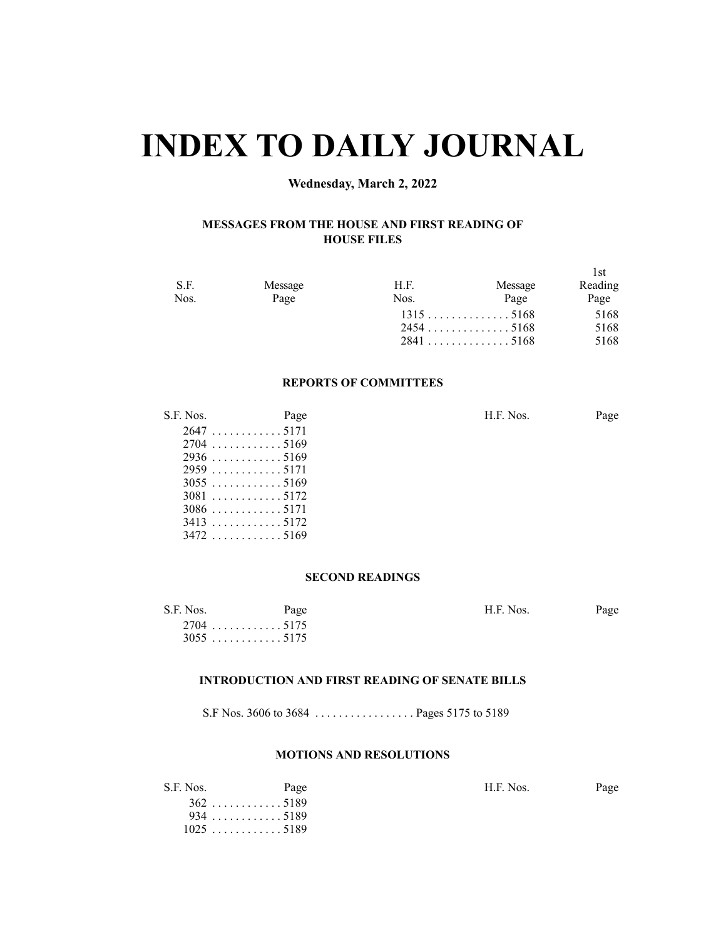# **INDEX TO DAILY JOURNAL**

# **Wednesday, March 2, 2022**

# **MESSAGES FROM THE HOUSE AND FIRST READING OF HOUSE FILES**

| S.F.<br>Nos. | Message<br>Page | H.F.<br>Nos. | Message<br>Page | 1st<br>Reading<br>Page |
|--------------|-----------------|--------------|-----------------|------------------------|
|              |                 |              | $2454$ 5168     | 5168<br>5168           |
|              |                 |              |                 | 5168                   |

#### **REPORTS OF COMMITTEES**

| S.F. Nos.   | Page        | H.F. Nos. | Page |
|-------------|-------------|-----------|------|
| 26475171    |             |           |      |
| $2704$ 5169 |             |           |      |
|             |             |           |      |
|             |             |           |      |
|             |             |           |      |
|             | $3081$ 5172 |           |      |
|             | $3086$ 5171 |           |      |
|             |             |           |      |
|             | $3472$ 5169 |           |      |

# **SECOND READINGS**

| S.F. Nos. | Page        | H.F. Nos. | Page |
|-----------|-------------|-----------|------|
|           | $2704$ 5175 |           |      |
|           | $3055$ 5175 |           |      |

# **INTRODUCTION AND FIRST READING OF SENATE BILLS**

S.F Nos. 3606 to 3684 . . . . . . . . . . . . . . . . . Pages 5175 to 5189

# **MOTIONS AND RESOLUTIONS**

| S.F. Nos. | Page       | H.F. Nos. | Page |
|-----------|------------|-----------|------|
|           | $362$ 5189 |           |      |
|           | 9345189    |           |      |
|           | 10255189   |           |      |